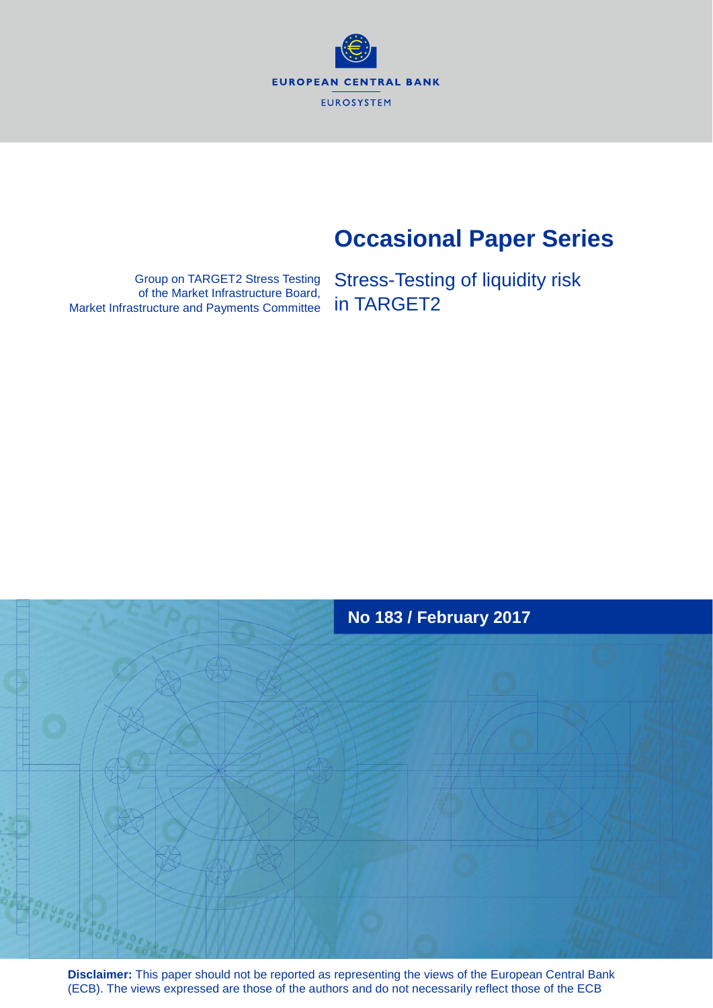**EUROPEAN CENTRAL BANK EUROSYSTEM** 

# **Occasional Paper Series**

Group on TARGET2 Stress Testing of the Market Infrastructure Board, Market Infrastructure and Payments Committee

Stress-Testing of liquidity risk in TARGET2



**Disclaimer:** This paper should not be reported as representing the views of the European Central Bank (ECB). The views expressed are those of the authors and do not necessarily reflect those of the ECB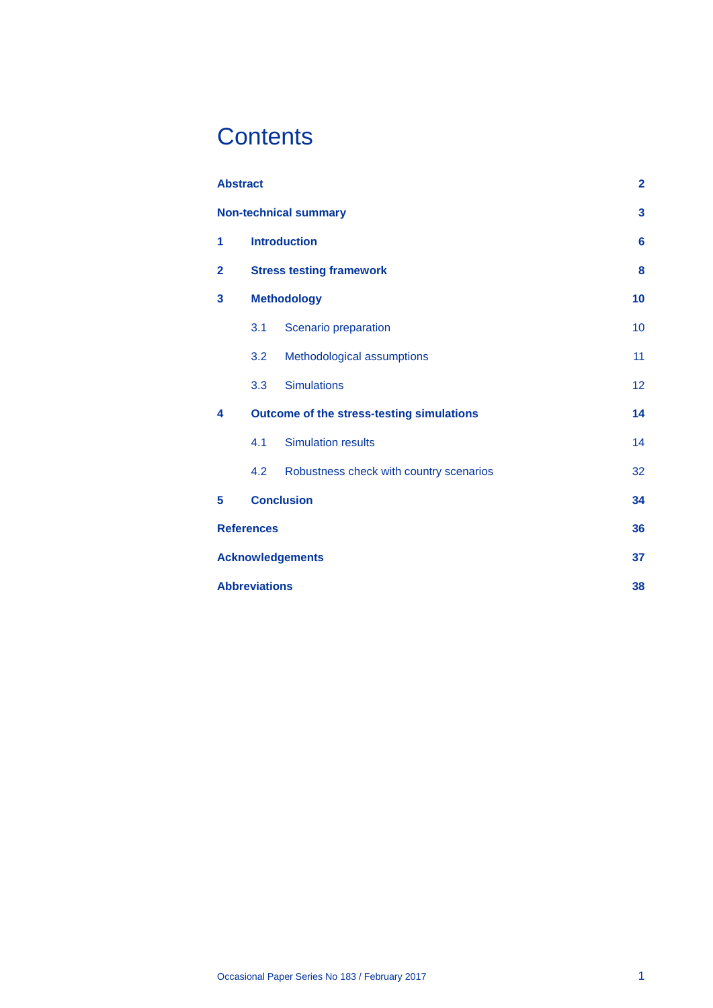# **Contents**

| <b>Abstract</b>         |                                           |                                         | $\overline{\mathbf{2}}$ |
|-------------------------|-------------------------------------------|-----------------------------------------|-------------------------|
|                         |                                           | <b>Non-technical summary</b>            | 3                       |
| 1                       | <b>Introduction</b>                       |                                         | $6\phantom{a}$          |
| $\overline{2}$          | <b>Stress testing framework</b>           |                                         | 8                       |
| 3                       | <b>Methodology</b>                        |                                         | 10                      |
|                         | 3.1                                       | Scenario preparation                    | 10                      |
|                         | 3.2                                       | Methodological assumptions              | 11                      |
|                         | 3.3                                       | <b>Simulations</b>                      | 12                      |
| 4                       | Outcome of the stress-testing simulations |                                         | 14                      |
|                         | 4.1                                       | <b>Simulation results</b>               | 14                      |
|                         | 4.2                                       | Robustness check with country scenarios | 32                      |
| 5                       | <b>Conclusion</b><br>34                   |                                         |                         |
| <b>References</b>       |                                           |                                         | 36                      |
| <b>Acknowledgements</b> |                                           |                                         | 37                      |
| <b>Abbreviations</b>    |                                           |                                         | 38                      |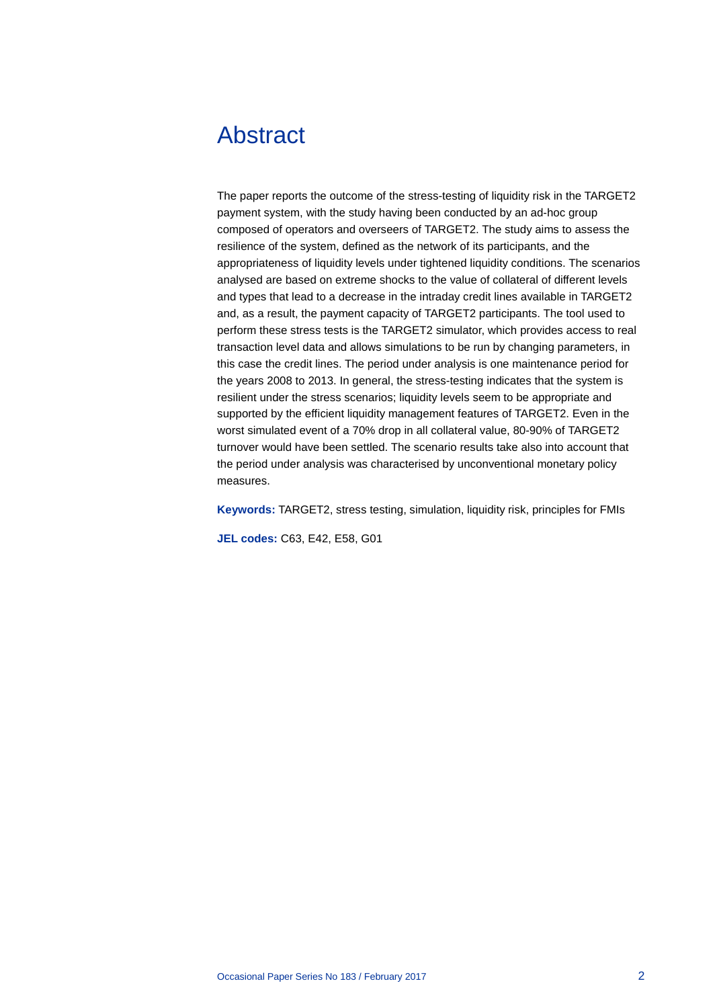# <span id="page-2-0"></span>Abstract

The paper reports the outcome of the stress-testing of liquidity risk in the TARGET2 payment system, with the study having been conducted by an ad-hoc group composed of operators and overseers of TARGET2. The study aims to assess the resilience of the system, defined as the network of its participants, and the appropriateness of liquidity levels under tightened liquidity conditions. The scenarios analysed are based on extreme shocks to the value of collateral of different levels and types that lead to a decrease in the intraday credit lines available in TARGET2 and, as a result, the payment capacity of TARGET2 participants. The tool used to perform these stress tests is the TARGET2 simulator, which provides access to real transaction level data and allows simulations to be run by changing parameters, in this case the credit lines. The period under analysis is one maintenance period for the years 2008 to 2013. In general, the stress-testing indicates that the system is resilient under the stress scenarios; liquidity levels seem to be appropriate and supported by the efficient liquidity management features of TARGET2. Even in the worst simulated event of a 70% drop in all collateral value, 80-90% of TARGET2 turnover would have been settled. The scenario results take also into account that the period under analysis was characterised by unconventional monetary policy measures.

**Keywords:** TARGET2, stress testing, simulation, liquidity risk, principles for FMIs

**JEL codes:** C63, E42, E58, G01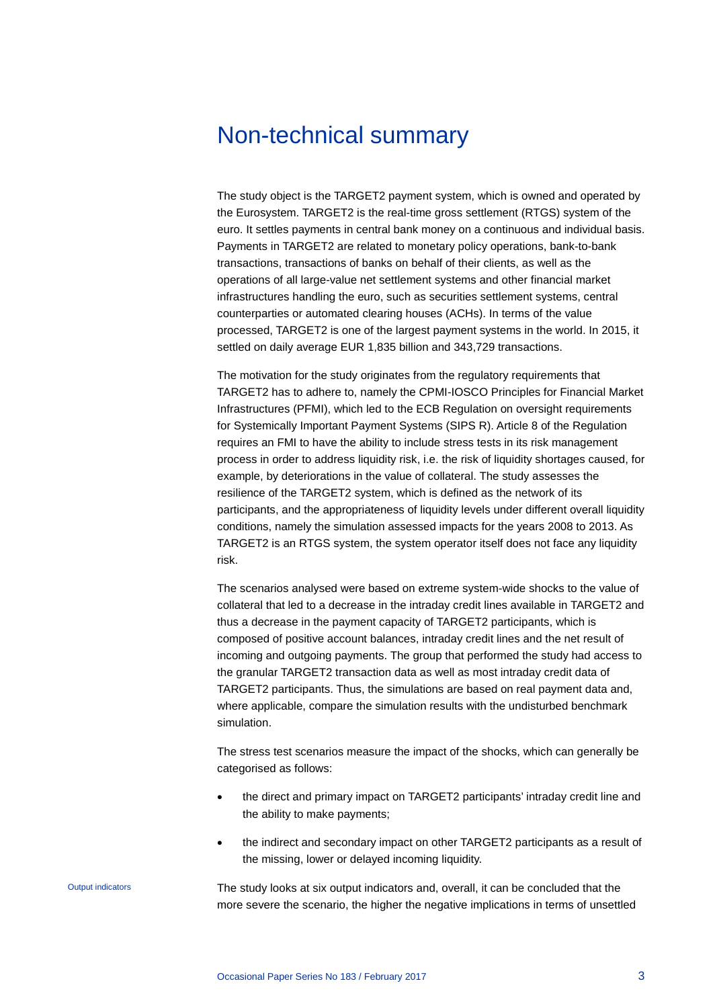## <span id="page-3-0"></span>Non-technical summary

The study object is the TARGET2 payment system, which is owned and operated by the Eurosystem. TARGET2 is the real-time gross settlement (RTGS) system of the euro. It settles payments in central bank money on a continuous and individual basis. Payments in TARGET2 are related to monetary policy operations, bank-to-bank transactions, transactions of banks on behalf of their clients, as well as the operations of all large-value net settlement systems and other financial market infrastructures handling the euro, such as securities settlement systems, central counterparties or automated clearing houses (ACHs). In terms of the value processed, TARGET2 is one of the largest payment systems in the world. In 2015, it settled on daily average EUR 1,835 billion and 343,729 transactions.

The motivation for the study originates from the regulatory requirements that TARGET2 has to adhere to, namely the CPMI-IOSCO Principles for Financial Market Infrastructures (PFMI), which led to the ECB Regulation on oversight requirements for Systemically Important Payment Systems (SIPS R). Article 8 of the Regulation requires an FMI to have the ability to include stress tests in its risk management process in order to address liquidity risk, i.e. the risk of liquidity shortages caused, for example, by deteriorations in the value of collateral. The study assesses the resilience of the TARGET2 system, which is defined as the network of its participants, and the appropriateness of liquidity levels under different overall liquidity conditions, namely the simulation assessed impacts for the years 2008 to 2013. As TARGET2 is an RTGS system, the system operator itself does not face any liquidity risk.

The scenarios analysed were based on extreme system-wide shocks to the value of collateral that led to a decrease in the intraday credit lines available in TARGET2 and thus a decrease in the payment capacity of TARGET2 participants, which is composed of positive account balances, intraday credit lines and the net result of incoming and outgoing payments. The group that performed the study had access to the granular TARGET2 transaction data as well as most intraday credit data of TARGET2 participants. Thus, the simulations are based on real payment data and, where applicable, compare the simulation results with the undisturbed benchmark simulation.

The stress test scenarios measure the impact of the shocks, which can generally be categorised as follows:

- the direct and primary impact on TARGET2 participants' intraday credit line and the ability to make payments;
- the indirect and secondary impact on other TARGET2 participants as a result of the missing, lower or delayed incoming liquidity.

The study looks at six output indicators and, overall, it can be concluded that the more severe the scenario, the higher the negative implications in terms of unsettled

Output indicators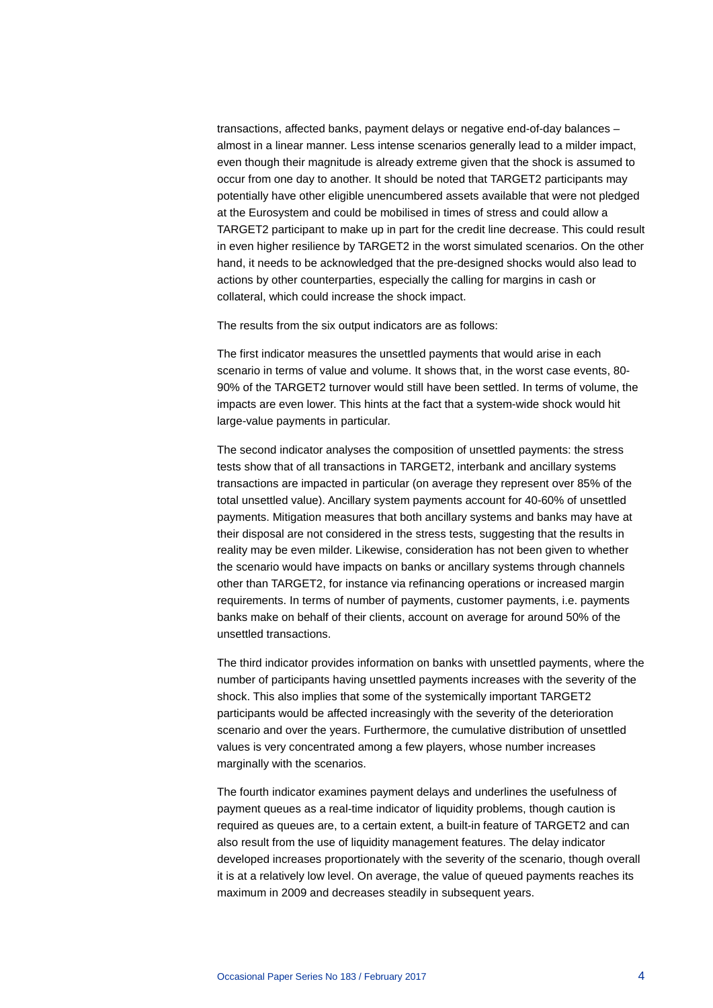transactions, affected banks, payment delays or negative end-of-day balances – almost in a linear manner. Less intense scenarios generally lead to a milder impact, even though their magnitude is already extreme given that the shock is assumed to occur from one day to another. It should be noted that TARGET2 participants may potentially have other eligible unencumbered assets available that were not pledged at the Eurosystem and could be mobilised in times of stress and could allow a TARGET2 participant to make up in part for the credit line decrease. This could result in even higher resilience by TARGET2 in the worst simulated scenarios. On the other hand, it needs to be acknowledged that the pre-designed shocks would also lead to actions by other counterparties, especially the calling for margins in cash or collateral, which could increase the shock impact.

The results from the six output indicators are as follows:

The first indicator measures the unsettled payments that would arise in each scenario in terms of value and volume. It shows that, in the worst case events, 80- 90% of the TARGET2 turnover would still have been settled. In terms of volume, the impacts are even lower. This hints at the fact that a system-wide shock would hit large-value payments in particular.

The second indicator analyses the composition of unsettled payments: the stress tests show that of all transactions in TARGET2, interbank and ancillary systems transactions are impacted in particular (on average they represent over 85% of the total unsettled value). Ancillary system payments account for 40-60% of unsettled payments. Mitigation measures that both ancillary systems and banks may have at their disposal are not considered in the stress tests, suggesting that the results in reality may be even milder. Likewise, consideration has not been given to whether the scenario would have impacts on banks or ancillary systems through channels other than TARGET2, for instance via refinancing operations or increased margin requirements. In terms of number of payments, customer payments, i.e. payments banks make on behalf of their clients, account on average for around 50% of the unsettled transactions.

The third indicator provides information on banks with unsettled payments, where the number of participants having unsettled payments increases with the severity of the shock. This also implies that some of the systemically important TARGET2 participants would be affected increasingly with the severity of the deterioration scenario and over the years. Furthermore, the cumulative distribution of unsettled values is very concentrated among a few players, whose number increases marginally with the scenarios.

The fourth indicator examines payment delays and underlines the usefulness of payment queues as a real-time indicator of liquidity problems, though caution is required as queues are, to a certain extent, a built-in feature of TARGET2 and can also result from the use of liquidity management features. The delay indicator developed increases proportionately with the severity of the scenario, though overall it is at a relatively low level. On average, the value of queued payments reaches its maximum in 2009 and decreases steadily in subsequent years.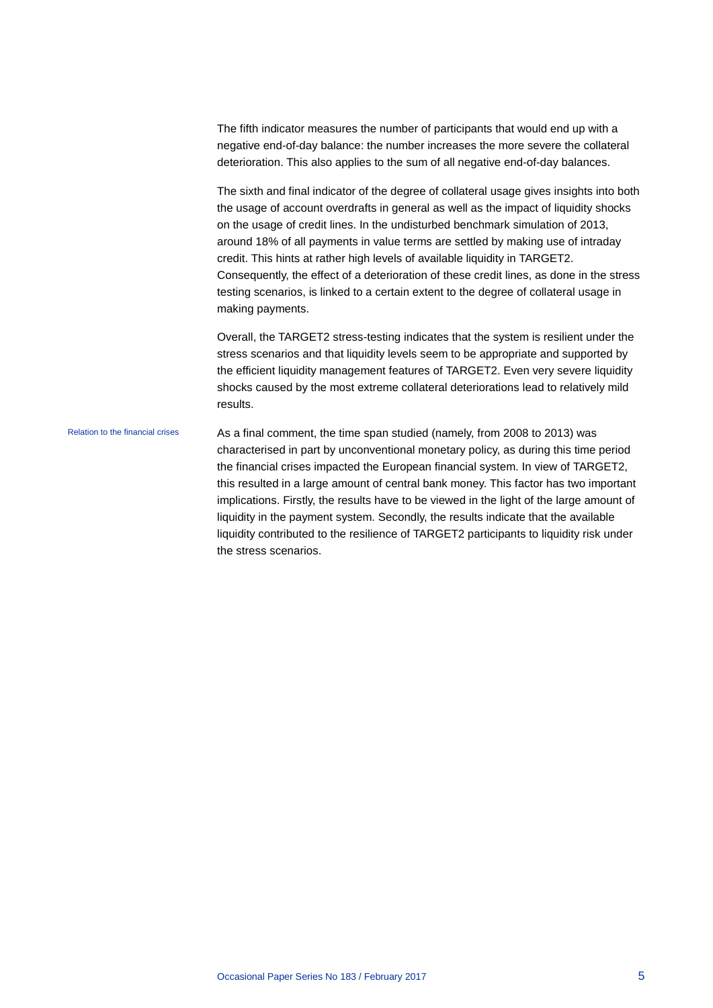The fifth indicator measures the number of participants that would end up with a negative end-of-day balance: the number increases the more severe the collateral deterioration. This also applies to the sum of all negative end-of-day balances.

The sixth and final indicator of the degree of collateral usage gives insights into both the usage of account overdrafts in general as well as the impact of liquidity shocks on the usage of credit lines. In the undisturbed benchmark simulation of 2013, around 18% of all payments in value terms are settled by making use of intraday credit. This hints at rather high levels of available liquidity in TARGET2. Consequently, the effect of a deterioration of these credit lines, as done in the stress testing scenarios, is linked to a certain extent to the degree of collateral usage in making payments.

Overall, the TARGET2 stress-testing indicates that the system is resilient under the stress scenarios and that liquidity levels seem to be appropriate and supported by the efficient liquidity management features of TARGET2. Even very severe liquidity shocks caused by the most extreme collateral deteriorations lead to relatively mild results.

As a final comment, the time span studied (namely, from 2008 to 2013) was characterised in part by unconventional monetary policy, as during this time period the financial crises impacted the European financial system. In view of TARGET2, this resulted in a large amount of central bank money. This factor has two important implications. Firstly, the results have to be viewed in the light of the large amount of liquidity in the payment system. Secondly, the results indicate that the available liquidity contributed to the resilience of TARGET2 participants to liquidity risk under the stress scenarios. Relation to the financial crises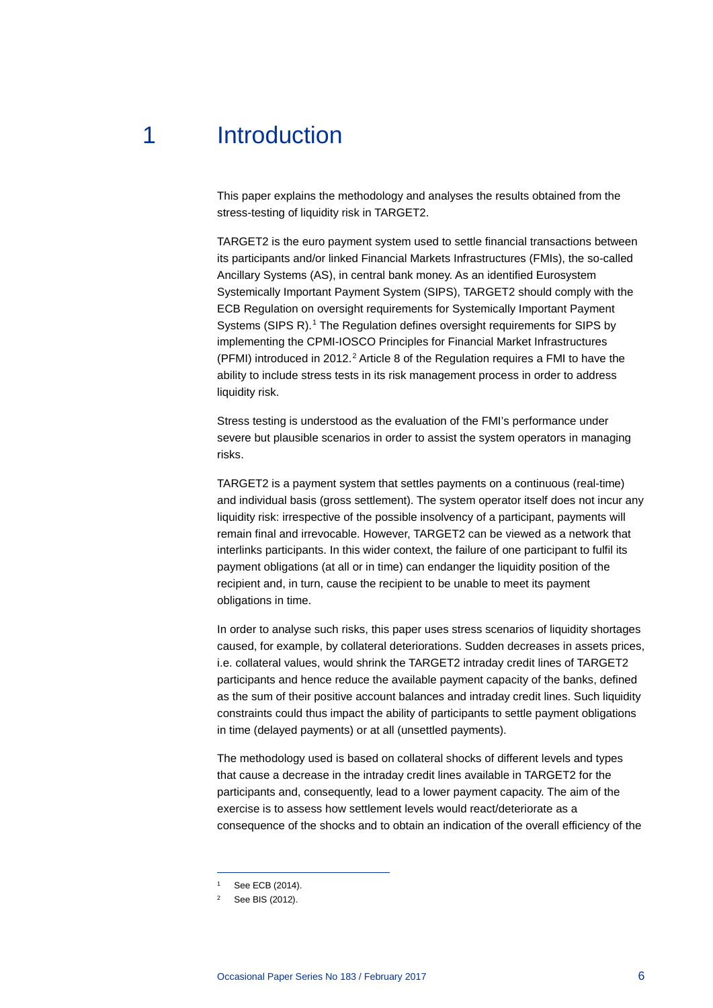# 1 Introduction

<span id="page-6-0"></span>This paper explains the methodology and analyses the results obtained from the stress-testing of liquidity risk in TARGET2.

TARGET2 is the euro payment system used to settle financial transactions between its participants and/or linked Financial Markets Infrastructures (FMIs), the so-called Ancillary Systems (AS), in central bank money. As an identified Eurosystem Systemically Important Payment System (SIPS), TARGET2 should comply with the ECB Regulation on oversight requirements for Systemically Important Payment Systems (SIPS R).<sup>[1](#page-6-1)</sup> The Regulation defines oversight requirements for SIPS by implementing the CPMI-IOSCO Principles for Financial Market Infrastructures (PFMI) introduced in [2](#page-6-2)012.<sup>2</sup> Article 8 of the Regulation requires a FMI to have the ability to include stress tests in its risk management process in order to address liquidity risk.

Stress testing is understood as the evaluation of the FMI's performance under severe but plausible scenarios in order to assist the system operators in managing risks.

TARGET2 is a payment system that settles payments on a continuous (real-time) and individual basis (gross settlement). The system operator itself does not incur any liquidity risk: irrespective of the possible insolvency of a participant, payments will remain final and irrevocable. However, TARGET2 can be viewed as a network that interlinks participants. In this wider context, the failure of one participant to fulfil its payment obligations (at all or in time) can endanger the liquidity position of the recipient and, in turn, cause the recipient to be unable to meet its payment obligations in time.

In order to analyse such risks, this paper uses stress scenarios of liquidity shortages caused, for example, by collateral deteriorations. Sudden decreases in assets prices, i.e. collateral values, would shrink the TARGET2 intraday credit lines of TARGET2 participants and hence reduce the available payment capacity of the banks, defined as the sum of their positive account balances and intraday credit lines. Such liquidity constraints could thus impact the ability of participants to settle payment obligations in time (delayed payments) or at all (unsettled payments).

The methodology used is based on collateral shocks of different levels and types that cause a decrease in the intraday credit lines available in TARGET2 for the participants and, consequently, lead to a lower payment capacity. The aim of the exercise is to assess how settlement levels would react/deteriorate as a consequence of the shocks and to obtain an indication of the overall efficiency of the

See ECB (2014).

<span id="page-6-2"></span><span id="page-6-1"></span><sup>2</sup> See BIS (2012).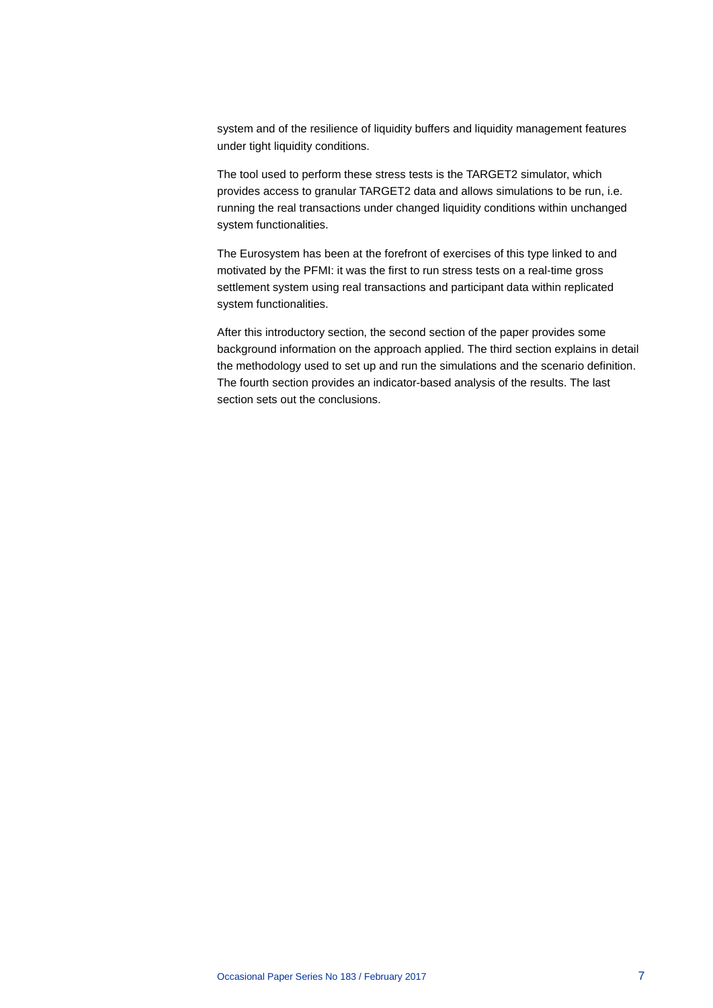system and of the resilience of liquidity buffers and liquidity management features under tight liquidity conditions.

The tool used to perform these stress tests is the TARGET2 simulator, which provides access to granular TARGET2 data and allows simulations to be run, i.e. running the real transactions under changed liquidity conditions within unchanged system functionalities.

The Eurosystem has been at the forefront of exercises of this type linked to and motivated by the PFMI: it was the first to run stress tests on a real-time gross settlement system using real transactions and participant data within replicated system functionalities.

After this introductory section, the second section of the paper provides some background information on the approach applied. The third section explains in detail the methodology used to set up and run the simulations and the scenario definition. The fourth section provides an indicator-based analysis of the results. The last section sets out the conclusions.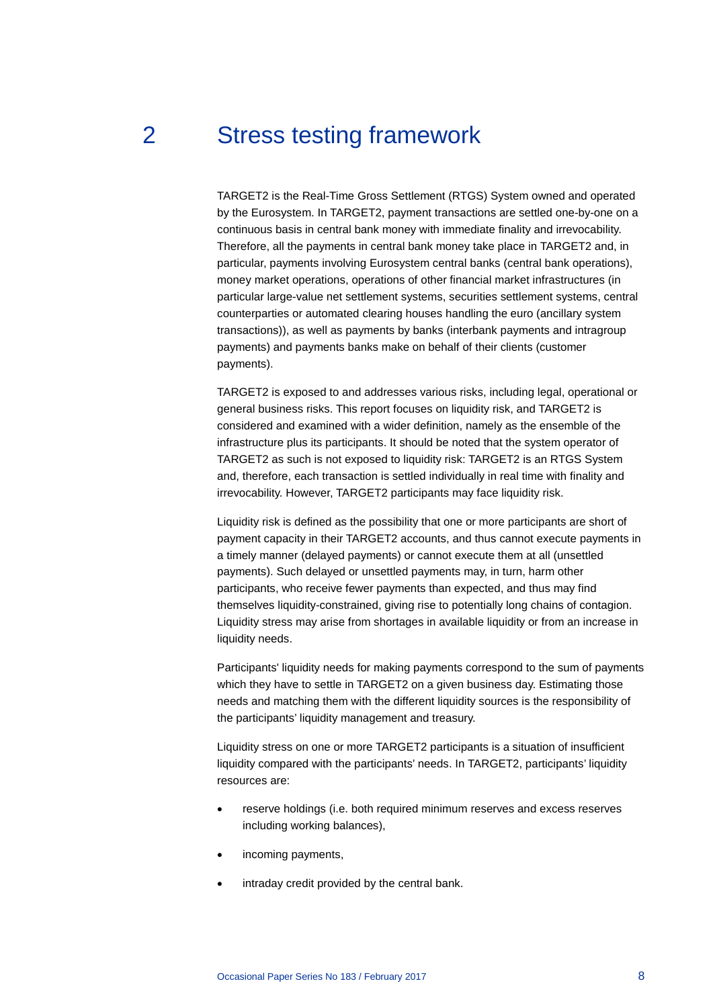## 2 Stress testing framework

<span id="page-8-0"></span>TARGET2 is the Real-Time Gross Settlement (RTGS) System owned and operated by the Eurosystem. In TARGET2, payment transactions are settled one-by-one on a continuous basis in central bank money with immediate finality and irrevocability. Therefore, all the payments in central bank money take place in TARGET2 and, in particular, payments involving Eurosystem central banks (central bank operations), money market operations, operations of other financial market infrastructures (in particular large-value net settlement systems, securities settlement systems, central counterparties or automated clearing houses handling the euro (ancillary system transactions)), as well as payments by banks (interbank payments and intragroup payments) and payments banks make on behalf of their clients (customer payments).

TARGET2 is exposed to and addresses various risks, including legal, operational or general business risks. This report focuses on liquidity risk, and TARGET2 is considered and examined with a wider definition, namely as the ensemble of the infrastructure plus its participants. It should be noted that the system operator of TARGET2 as such is not exposed to liquidity risk: TARGET2 is an RTGS System and, therefore, each transaction is settled individually in real time with finality and irrevocability. However, TARGET2 participants may face liquidity risk.

Liquidity risk is defined as the possibility that one or more participants are short of payment capacity in their TARGET2 accounts, and thus cannot execute payments in a timely manner (delayed payments) or cannot execute them at all (unsettled payments). Such delayed or unsettled payments may, in turn, harm other participants, who receive fewer payments than expected, and thus may find themselves liquidity-constrained, giving rise to potentially long chains of contagion. Liquidity stress may arise from shortages in available liquidity or from an increase in liquidity needs.

Participants' liquidity needs for making payments correspond to the sum of payments which they have to settle in TARGET2 on a given business day. Estimating those needs and matching them with the different liquidity sources is the responsibility of the participants' liquidity management and treasury.

Liquidity stress on one or more TARGET2 participants is a situation of insufficient liquidity compared with the participants' needs. In TARGET2, participants' liquidity resources are:

- reserve holdings (i.e. both required minimum reserves and excess reserves including working balances),
- incoming payments,
- intraday credit provided by the central bank.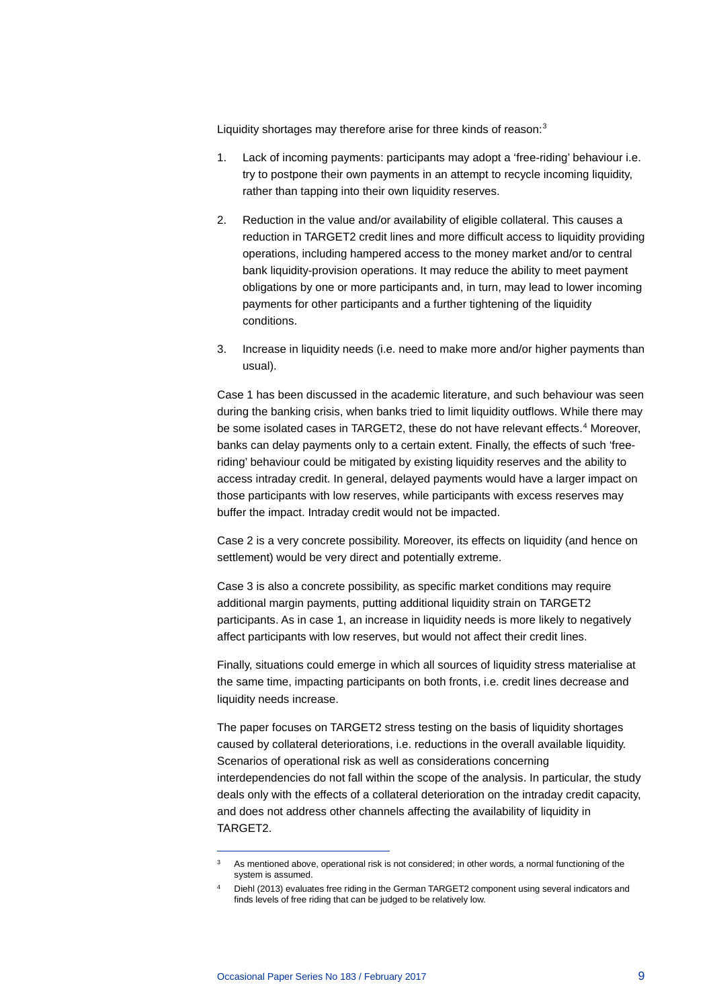Liquidity shortages may therefore arise for three kinds of reason:<sup>[3](#page-9-0)</sup>

- 1. Lack of incoming payments: participants may adopt a 'free-riding' behaviour i.e. try to postpone their own payments in an attempt to recycle incoming liquidity, rather than tapping into their own liquidity reserves.
- 2. Reduction in the value and/or availability of eligible collateral. This causes a reduction in TARGET2 credit lines and more difficult access to liquidity providing operations, including hampered access to the money market and/or to central bank liquidity-provision operations. It may reduce the ability to meet payment obligations by one or more participants and, in turn, may lead to lower incoming payments for other participants and a further tightening of the liquidity conditions.
- 3. Increase in liquidity needs (i.e. need to make more and/or higher payments than usual).

Case 1 has been discussed in the academic literature, and such behaviour was seen during the banking crisis, when banks tried to limit liquidity outflows. While there may be some isolated cases in TARGET2, these do not have relevant effects.<sup>[4](#page-9-1)</sup> Moreover, banks can delay payments only to a certain extent. Finally, the effects of such 'freeriding' behaviour could be mitigated by existing liquidity reserves and the ability to access intraday credit. In general, delayed payments would have a larger impact on those participants with low reserves, while participants with excess reserves may buffer the impact. Intraday credit would not be impacted.

Case 2 is a very concrete possibility. Moreover, its effects on liquidity (and hence on settlement) would be very direct and potentially extreme.

Case 3 is also a concrete possibility, as specific market conditions may require additional margin payments, putting additional liquidity strain on TARGET2 participants. As in case 1, an increase in liquidity needs is more likely to negatively affect participants with low reserves, but would not affect their credit lines.

Finally, situations could emerge in which all sources of liquidity stress materialise at the same time, impacting participants on both fronts, i.e. credit lines decrease and liquidity needs increase.

The paper focuses on TARGET2 stress testing on the basis of liquidity shortages caused by collateral deteriorations, i.e. reductions in the overall available liquidity. Scenarios of operational risk as well as considerations concerning interdependencies do not fall within the scope of the analysis. In particular, the study deals only with the effects of a collateral deterioration on the intraday credit capacity, and does not address other channels affecting the availability of liquidity in TARGET2.

<span id="page-9-0"></span><sup>&</sup>lt;sup>3</sup> As mentioned above, operational risk is not considered; in other words, a normal functioning of the system is assumed.

<span id="page-9-1"></span><sup>4</sup> Diehl (2013) evaluates free riding in the German TARGET2 component using several indicators and finds levels of free riding that can be judged to be relatively low.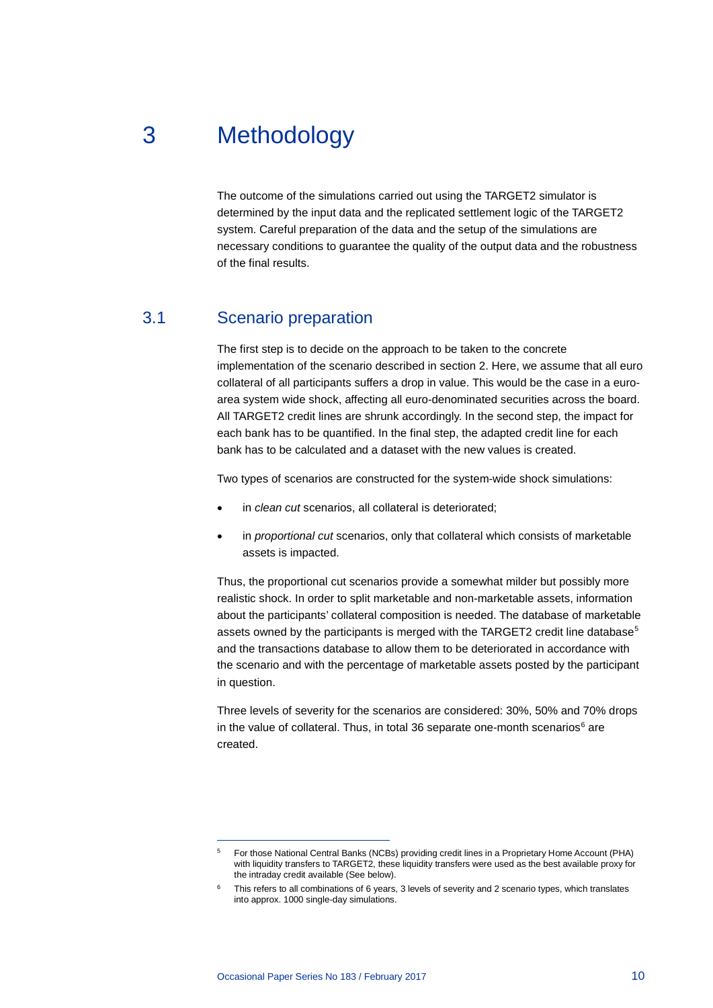# 3 Methodology

<span id="page-10-0"></span>The outcome of the simulations carried out using the TARGET2 simulator is determined by the input data and the replicated settlement logic of the TARGET2 system. Careful preparation of the data and the setup of the simulations are necessary conditions to guarantee the quality of the output data and the robustness of the final results.

## 3.1 Scenario preparation

<span id="page-10-1"></span>The first step is to decide on the approach to be taken to the concrete implementation of the scenario described in section 2. Here, we assume that all euro collateral of all participants suffers a drop in value. This would be the case in a euroarea system wide shock, affecting all euro-denominated securities across the board. All TARGET2 credit lines are shrunk accordingly. In the second step, the impact for each bank has to be quantified. In the final step, the adapted credit line for each bank has to be calculated and a dataset with the new values is created.

Two types of scenarios are constructed for the system-wide shock simulations:

- in *clean cut* scenarios, all collateral is deteriorated;
- in *proportional cut* scenarios, only that collateral which consists of marketable assets is impacted.

Thus, the proportional cut scenarios provide a somewhat milder but possibly more realistic shock. In order to split marketable and non-marketable assets, information about the participants' collateral composition is needed. The database of marketable assets owned by the participants is merged with the TARGET2 credit line database<sup>[5](#page-10-2)</sup> and the transactions database to allow them to be deteriorated in accordance with the scenario and with the percentage of marketable assets posted by the participant in question.

Three levels of severity for the scenarios are considered: 30%, 50% and 70% drops in the value of collateral. Thus, in total 3[6](#page-10-3) separate one-month scenarios $<sup>6</sup>$  are</sup> created.

<span id="page-10-2"></span><sup>5</sup> For those National Central Banks (NCBs) providing credit lines in a Proprietary Home Account (PHA) with liquidity transfers to TARGET2, these liquidity transfers were used as the best available proxy for the intraday credit available (See below).

<span id="page-10-3"></span>This refers to all combinations of 6 years, 3 levels of severity and 2 scenario types, which translates into approx. 1000 single-day simulations.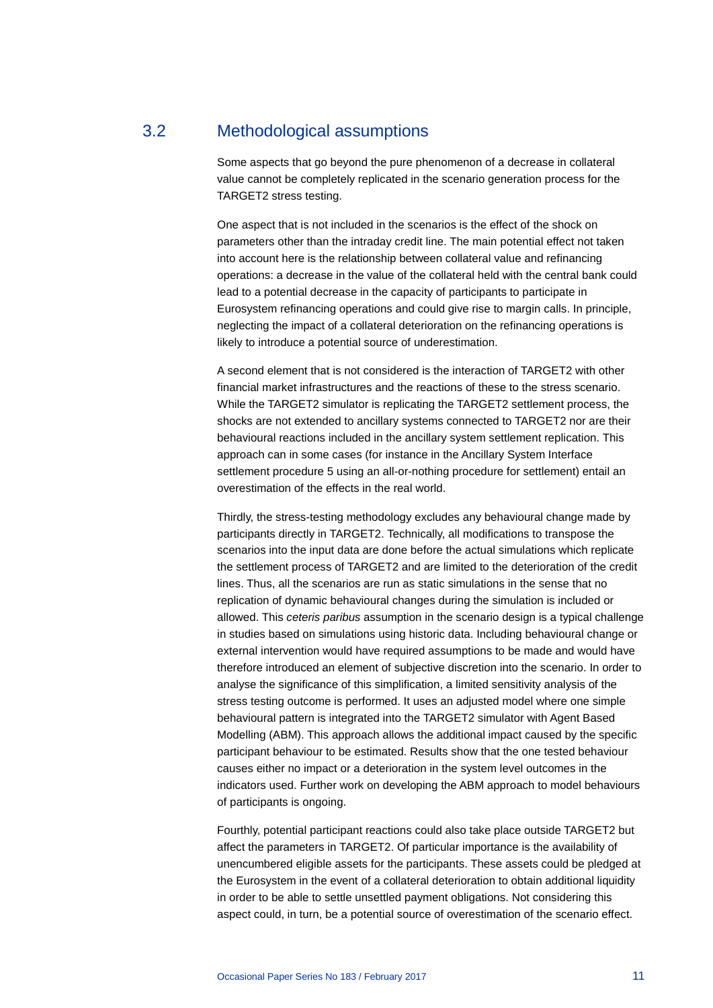## 3.2 Methodological assumptions

<span id="page-11-0"></span>Some aspects that go beyond the pure phenomenon of a decrease in collateral value cannot be completely replicated in the scenario generation process for the TARGET2 stress testing.

One aspect that is not included in the scenarios is the effect of the shock on parameters other than the intraday credit line. The main potential effect not taken into account here is the relationship between collateral value and refinancing operations: a decrease in the value of the collateral held with the central bank could lead to a potential decrease in the capacity of participants to participate in Eurosystem refinancing operations and could give rise to margin calls. In principle, neglecting the impact of a collateral deterioration on the refinancing operations is likely to introduce a potential source of underestimation.

A second element that is not considered is the interaction of TARGET2 with other financial market infrastructures and the reactions of these to the stress scenario. While the TARGET2 simulator is replicating the TARGET2 settlement process, the shocks are not extended to ancillary systems connected to TARGET2 nor are their behavioural reactions included in the ancillary system settlement replication. This approach can in some cases (for instance in the Ancillary System Interface settlement procedure 5 using an all-or-nothing procedure for settlement) entail an overestimation of the effects in the real world.

Thirdly, the stress-testing methodology excludes any behavioural change made by participants directly in TARGET2. Technically, all modifications to transpose the scenarios into the input data are done before the actual simulations which replicate the settlement process of TARGET2 and are limited to the deterioration of the credit lines. Thus, all the scenarios are run as static simulations in the sense that no replication of dynamic behavioural changes during the simulation is included or allowed. This *ceteris paribus* assumption in the scenario design is a typical challenge in studies based on simulations using historic data. Including behavioural change or external intervention would have required assumptions to be made and would have therefore introduced an element of subjective discretion into the scenario. In order to analyse the significance of this simplification, a limited sensitivity analysis of the stress testing outcome is performed. It uses an adjusted model where one simple behavioural pattern is integrated into the TARGET2 simulator with Agent Based Modelling (ABM). This approach allows the additional impact caused by the specific participant behaviour to be estimated. Results show that the one tested behaviour causes either no impact or a deterioration in the system level outcomes in the indicators used. Further work on developing the ABM approach to model behaviours of participants is ongoing.

Fourthly, potential participant reactions could also take place outside TARGET2 but affect the parameters in TARGET2. Of particular importance is the availability of unencumbered eligible assets for the participants. These assets could be pledged at the Eurosystem in the event of a collateral deterioration to obtain additional liquidity in order to be able to settle unsettled payment obligations. Not considering this aspect could, in turn, be a potential source of overestimation of the scenario effect.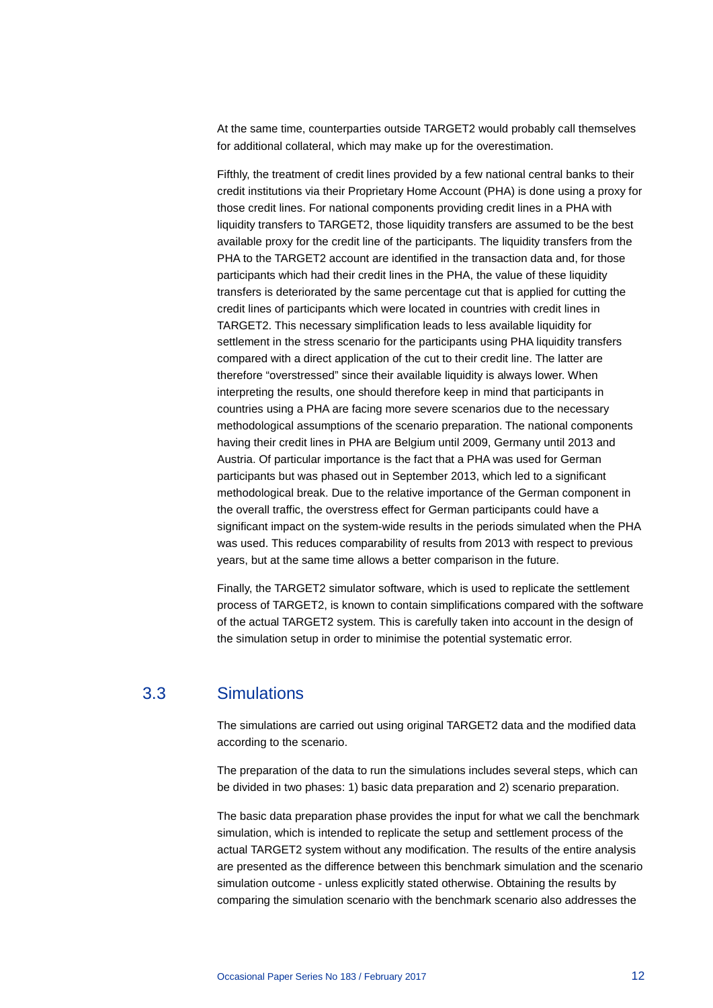At the same time, counterparties outside TARGET2 would probably call themselves for additional collateral, which may make up for the overestimation.

Fifthly, the treatment of credit lines provided by a few national central banks to their credit institutions via their Proprietary Home Account (PHA) is done using a proxy for those credit lines. For national components providing credit lines in a PHA with liquidity transfers to TARGET2, those liquidity transfers are assumed to be the best available proxy for the credit line of the participants. The liquidity transfers from the PHA to the TARGET2 account are identified in the transaction data and, for those participants which had their credit lines in the PHA, the value of these liquidity transfers is deteriorated by the same percentage cut that is applied for cutting the credit lines of participants which were located in countries with credit lines in TARGET2. This necessary simplification leads to less available liquidity for settlement in the stress scenario for the participants using PHA liquidity transfers compared with a direct application of the cut to their credit line. The latter are therefore "overstressed" since their available liquidity is always lower. When interpreting the results, one should therefore keep in mind that participants in countries using a PHA are facing more severe scenarios due to the necessary methodological assumptions of the scenario preparation. The national components having their credit lines in PHA are Belgium until 2009, Germany until 2013 and Austria. Of particular importance is the fact that a PHA was used for German participants but was phased out in September 2013, which led to a significant methodological break. Due to the relative importance of the German component in the overall traffic, the overstress effect for German participants could have a significant impact on the system-wide results in the periods simulated when the PHA was used. This reduces comparability of results from 2013 with respect to previous years, but at the same time allows a better comparison in the future.

Finally, the TARGET2 simulator software, which is used to replicate the settlement process of TARGET2, is known to contain simplifications compared with the software of the actual TARGET2 system. This is carefully taken into account in the design of the simulation setup in order to minimise the potential systematic error.

### 3.3 Simulations

<span id="page-12-0"></span>The simulations are carried out using original TARGET2 data and the modified data according to the scenario.

The preparation of the data to run the simulations includes several steps, which can be divided in two phases: 1) basic data preparation and 2) scenario preparation.

The basic data preparation phase provides the input for what we call the benchmark simulation, which is intended to replicate the setup and settlement process of the actual TARGET2 system without any modification. The results of the entire analysis are presented as the difference between this benchmark simulation and the scenario simulation outcome - unless explicitly stated otherwise. Obtaining the results by comparing the simulation scenario with the benchmark scenario also addresses the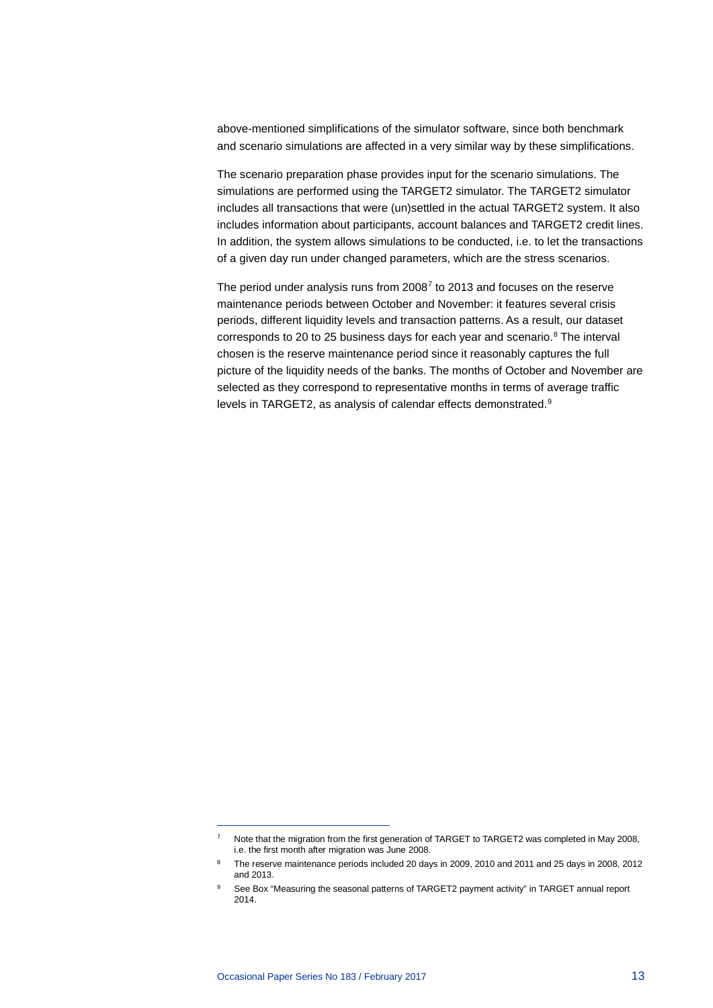above-mentioned simplifications of the simulator software, since both benchmark and scenario simulations are affected in a very similar way by these simplifications.

The scenario preparation phase provides input for the scenario simulations. The simulations are performed using the TARGET2 simulator. The TARGET2 simulator includes all transactions that were (un)settled in the actual TARGET2 system. It also includes information about participants, account balances and TARGET2 credit lines. In addition, the system allows simulations to be conducted, i.e. to let the transactions of a given day run under changed parameters, which are the stress scenarios.

The period under analysis runs from 2008[7](#page-13-0) to 2013 and focuses on the reserve maintenance periods between October and November: it features several crisis periods, different liquidity levels and transaction patterns. As a result, our dataset corresponds to 20 to 25 business days for each year and scenario.<sup>8</sup> The interval chosen is the reserve maintenance period since it reasonably captures the full picture of the liquidity needs of the banks. The months of October and November are selected as they correspond to representative months in terms of average traffic levels in TARGET2, as analysis of calendar effects demonstrated.<sup>[9](#page-13-2)</sup>

<sup>&</sup>lt;sup>7</sup> Note that the migration from the first generation of TARGET to TARGET2 was completed in May 2008, i.e. the first month after migration was June 2008.

<span id="page-13-1"></span><span id="page-13-0"></span><sup>&</sup>lt;sup>8</sup> The reserve maintenance periods included 20 days in 2009, 2010 and 2011 and 25 days in 2008, 2012 and 2013.

<span id="page-13-2"></span><sup>9</sup> See Box "Measuring the seasonal patterns of TARGET2 payment activity" in TARGET annual report 2014.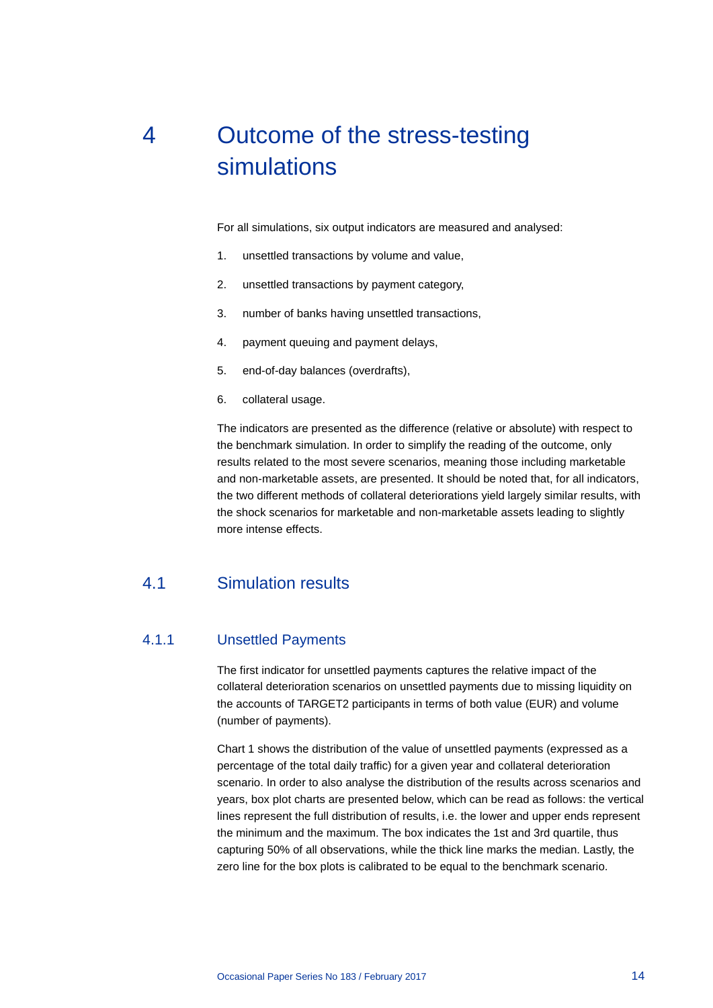# <span id="page-14-0"></span>4 Outcome of the stress-testing simulations

For all simulations, six output indicators are measured and analysed:

- 1. unsettled transactions by volume and value,
- 2. unsettled transactions by payment category,
- 3. number of banks having unsettled transactions,
- 4. payment queuing and payment delays,
- 5. end-of-day balances (overdrafts),
- 6. collateral usage.

The indicators are presented as the difference (relative or absolute) with respect to the benchmark simulation. In order to simplify the reading of the outcome, only results related to the most severe scenarios, meaning those including marketable and non-marketable assets, are presented. It should be noted that, for all indicators, the two different methods of collateral deteriorations yield largely similar results, with the shock scenarios for marketable and non-marketable assets leading to slightly more intense effects.

## <span id="page-14-1"></span>4.1 Simulation results

### 4.1.1 Unsettled Payments

The first indicator for unsettled payments captures the relative impact of the collateral deterioration scenarios on unsettled payments due to missing liquidity on the accounts of TARGET2 participants in terms of both value (EUR) and volume (number of payments).

Chart 1 shows the distribution of the value of unsettled payments (expressed as a percentage of the total daily traffic) for a given year and collateral deterioration scenario. In order to also analyse the distribution of the results across scenarios and years, box plot charts are presented below, which can be read as follows: the vertical lines represent the full distribution of results, i.e. the lower and upper ends represent the minimum and the maximum. The box indicates the 1st and 3rd quartile, thus capturing 50% of all observations, while the thick line marks the median. Lastly, the zero line for the box plots is calibrated to be equal to the benchmark scenario.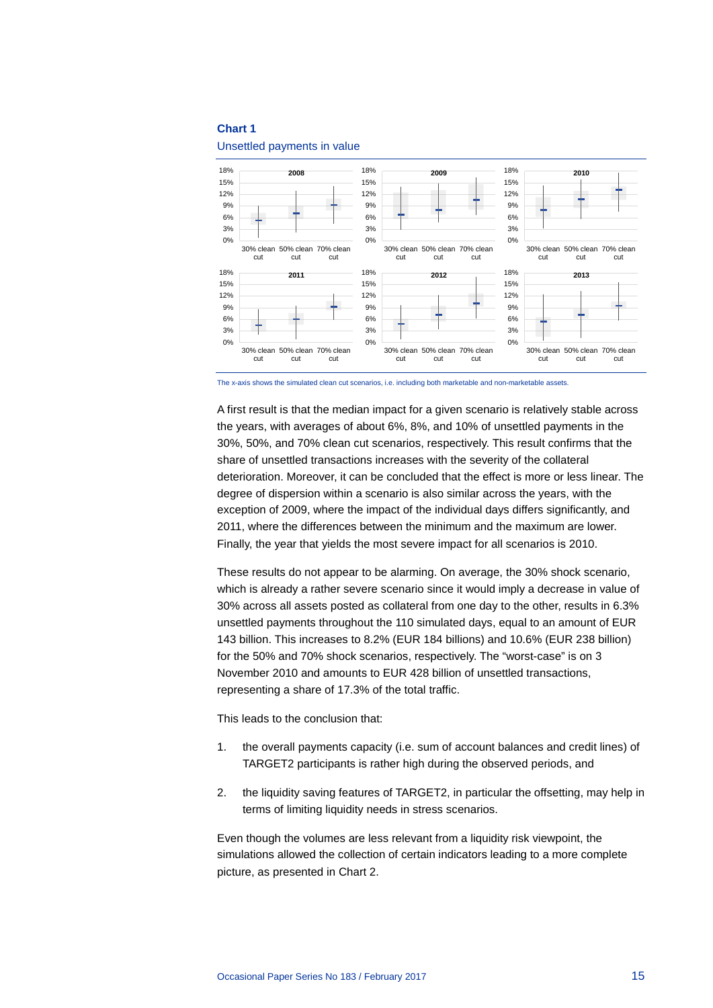Unsettled payments in value



The x-axis shows the simulated clean cut scenarios, i.e. including both marketable and non-marketable assets.

A first result is that the median impact for a given scenario is relatively stable across the years, with averages of about 6%, 8%, and 10% of unsettled payments in the 30%, 50%, and 70% clean cut scenarios, respectively. This result confirms that the share of unsettled transactions increases with the severity of the collateral deterioration. Moreover, it can be concluded that the effect is more or less linear. The degree of dispersion within a scenario is also similar across the years, with the exception of 2009, where the impact of the individual days differs significantly, and 2011, where the differences between the minimum and the maximum are lower. Finally, the year that yields the most severe impact for all scenarios is 2010.

These results do not appear to be alarming. On average, the 30% shock scenario, which is already a rather severe scenario since it would imply a decrease in value of 30% across all assets posted as collateral from one day to the other, results in 6.3% unsettled payments throughout the 110 simulated days, equal to an amount of EUR 143 billion. This increases to 8.2% (EUR 184 billions) and 10.6% (EUR 238 billion) for the 50% and 70% shock scenarios, respectively. The "worst-case" is on 3 November 2010 and amounts to EUR 428 billion of unsettled transactions, representing a share of 17.3% of the total traffic.

This leads to the conclusion that:

- 1. the overall payments capacity (i.e. sum of account balances and credit lines) of TARGET2 participants is rather high during the observed periods, and
- 2. the liquidity saving features of TARGET2, in particular the offsetting, may help in terms of limiting liquidity needs in stress scenarios.

Even though the volumes are less relevant from a liquidity risk viewpoint, the simulations allowed the collection of certain indicators leading to a more complete picture, as presented in Chart 2.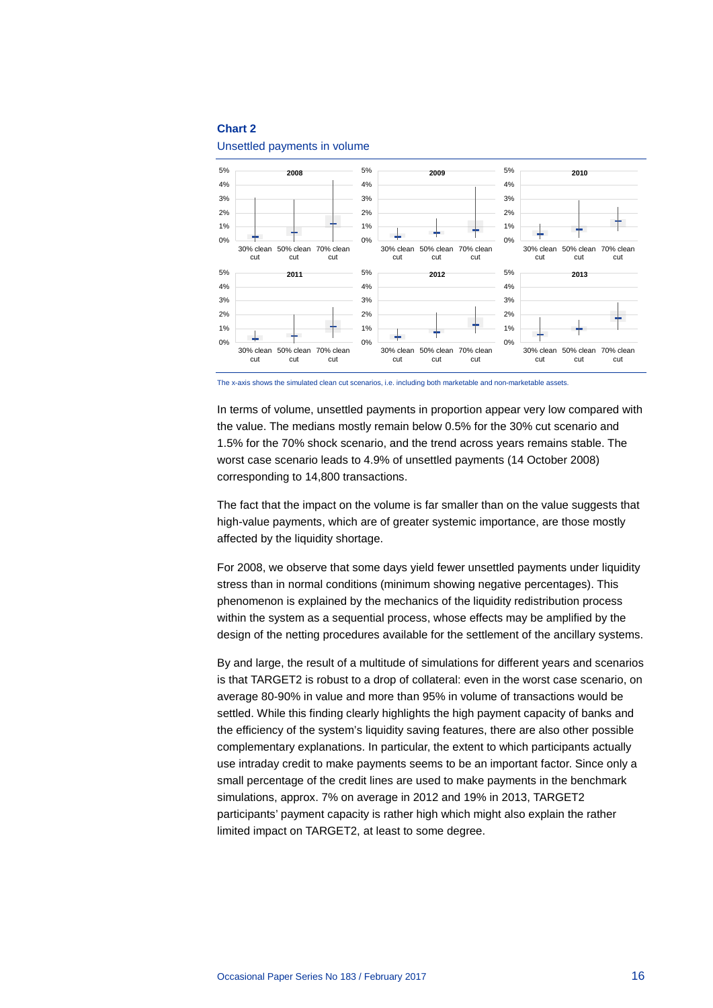Unsettled payments in volume



The x-axis shows the simulated clean cut scenarios, i.e. including both marketable and non-marketable assets.

In terms of volume, unsettled payments in proportion appear very low compared with the value. The medians mostly remain below 0.5% for the 30% cut scenario and 1.5% for the 70% shock scenario, and the trend across years remains stable. The worst case scenario leads to 4.9% of unsettled payments (14 October 2008) corresponding to 14,800 transactions.

The fact that the impact on the volume is far smaller than on the value suggests that high-value payments, which are of greater systemic importance, are those mostly affected by the liquidity shortage.

For 2008, we observe that some days yield fewer unsettled payments under liquidity stress than in normal conditions (minimum showing negative percentages). This phenomenon is explained by the mechanics of the liquidity redistribution process within the system as a sequential process, whose effects may be amplified by the design of the netting procedures available for the settlement of the ancillary systems.

By and large, the result of a multitude of simulations for different years and scenarios is that TARGET2 is robust to a drop of collateral: even in the worst case scenario, on average 80-90% in value and more than 95% in volume of transactions would be settled. While this finding clearly highlights the high payment capacity of banks and the efficiency of the system's liquidity saving features, there are also other possible complementary explanations. In particular, the extent to which participants actually use intraday credit to make payments seems to be an important factor. Since only a small percentage of the credit lines are used to make payments in the benchmark simulations, approx. 7% on average in 2012 and 19% in 2013, TARGET2 participants' payment capacity is rather high which might also explain the rather limited impact on TARGET2, at least to some degree.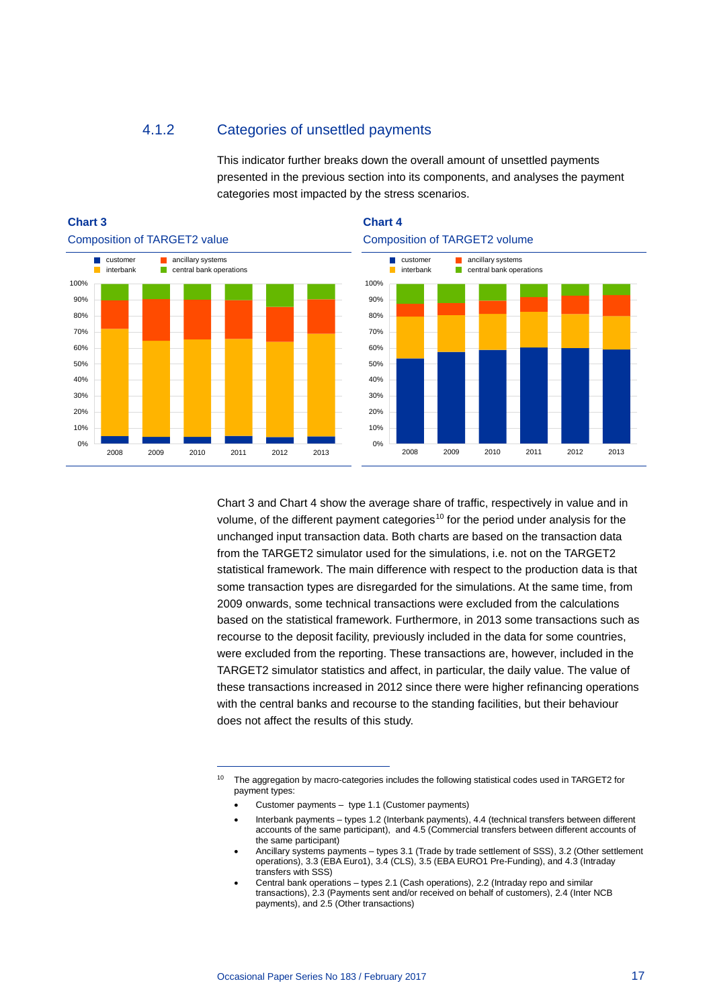### 4.1.2 Categories of unsettled payments

This indicator further breaks down the overall amount of unsettled payments presented in the previous section into its components, and analyses the payment categories most impacted by the stress scenarios.



-





Chart 3 and Chart 4 show the average share of traffic, respectively in value and in volume, of the different payment categories<sup>[10](#page-17-0)</sup> for the period under analysis for the unchanged input transaction data. Both charts are based on the transaction data from the TARGET2 simulator used for the simulations, i.e. not on the TARGET2 statistical framework. The main difference with respect to the production data is that some transaction types are disregarded for the simulations. At the same time, from 2009 onwards, some technical transactions were excluded from the calculations based on the statistical framework. Furthermore, in 2013 some transactions such as recourse to the deposit facility, previously included in the data for some countries, were excluded from the reporting. These transactions are, however, included in the TARGET2 simulator statistics and affect, in particular, the daily value. The value of these transactions increased in 2012 since there were higher refinancing operations with the central banks and recourse to the standing facilities, but their behaviour does not affect the results of this study.

<span id="page-17-0"></span><sup>&</sup>lt;sup>10</sup> The aggregation by macro-categories includes the following statistical codes used in TARGET2 for payment types:

<sup>•</sup> Customer payments – type 1.1 (Customer payments)

<sup>•</sup> Interbank payments – types 1.2 (Interbank payments), 4.4 (technical transfers between different accounts of the same participant), and 4.5 (Commercial transfers between different accounts of the same participant)

<sup>•</sup> Ancillary systems payments – types 3.1 (Trade by trade settlement of SSS), 3.2 (Other settlement operations), 3.3 (EBA Euro1), 3.4 (CLS), 3.5 (EBA EURO1 Pre-Funding), and 4.3 (Intraday transfers with SSS)

<sup>•</sup> Central bank operations – types 2.1 (Cash operations), 2.2 (Intraday repo and similar transactions), 2.3 (Payments sent and/or received on behalf of customers), 2.4 (Inter NCB payments), and 2.5 (Other transactions)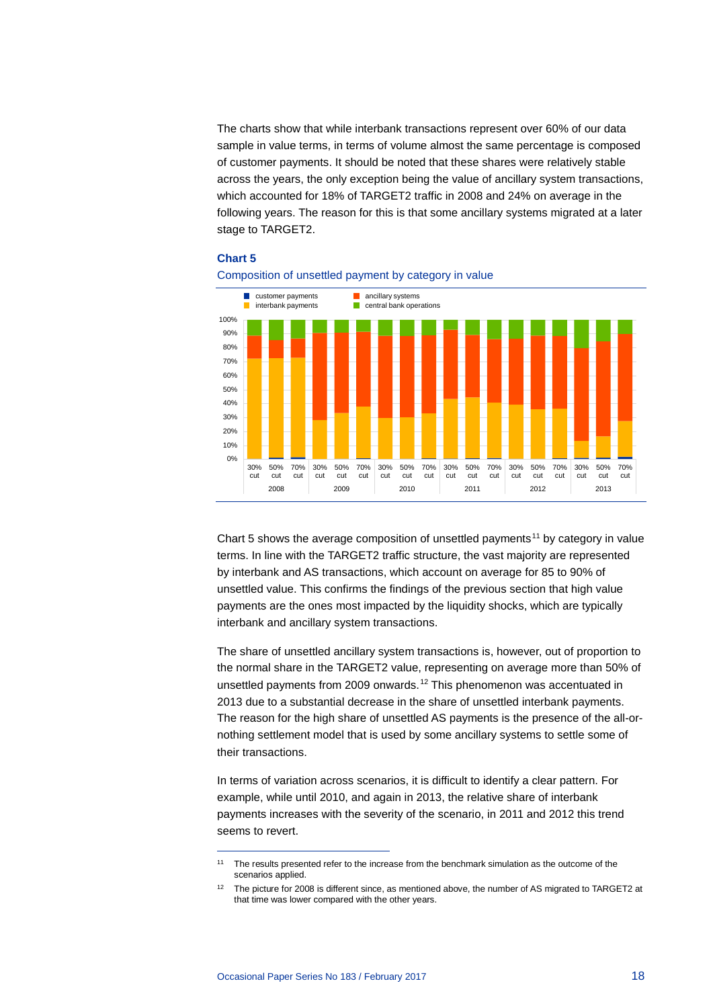The charts show that while interbank transactions represent over 60% of our data sample in value terms, in terms of volume almost the same percentage is composed of customer payments. It should be noted that these shares were relatively stable across the years, the only exception being the value of ancillary system transactions, which accounted for 18% of TARGET2 traffic in 2008 and 24% on average in the following years. The reason for this is that some ancillary systems migrated at a later stage to TARGET2.

#### **Chart 5**



### Composition of unsettled payment by category in value

Chart 5 shows the average composition of unsettled payments<sup>[11](#page-18-0)</sup> by category in value terms. In line with the TARGET2 traffic structure, the vast majority are represented by interbank and AS transactions, which account on average for 85 to 90% of unsettled value. This confirms the findings of the previous section that high value payments are the ones most impacted by the liquidity shocks, which are typically interbank and ancillary system transactions.

The share of unsettled ancillary system transactions is, however, out of proportion to the normal share in the TARGET2 value, representing on average more than 50% of unsettled payments from 2009 onwards.[12](#page-18-1) This phenomenon was accentuated in 2013 due to a substantial decrease in the share of unsettled interbank payments. The reason for the high share of unsettled AS payments is the presence of the all-ornothing settlement model that is used by some ancillary systems to settle some of their transactions.

In terms of variation across scenarios, it is difficult to identify a clear pattern. For example, while until 2010, and again in 2013, the relative share of interbank payments increases with the severity of the scenario, in 2011 and 2012 this trend seems to revert.

<span id="page-18-0"></span><sup>&</sup>lt;sup>11</sup> The results presented refer to the increase from the benchmark simulation as the outcome of the scenarios applied.

<span id="page-18-1"></span><sup>12</sup> The picture for 2008 is different since, as mentioned above, the number of AS migrated to TARGET2 at that time was lower compared with the other years.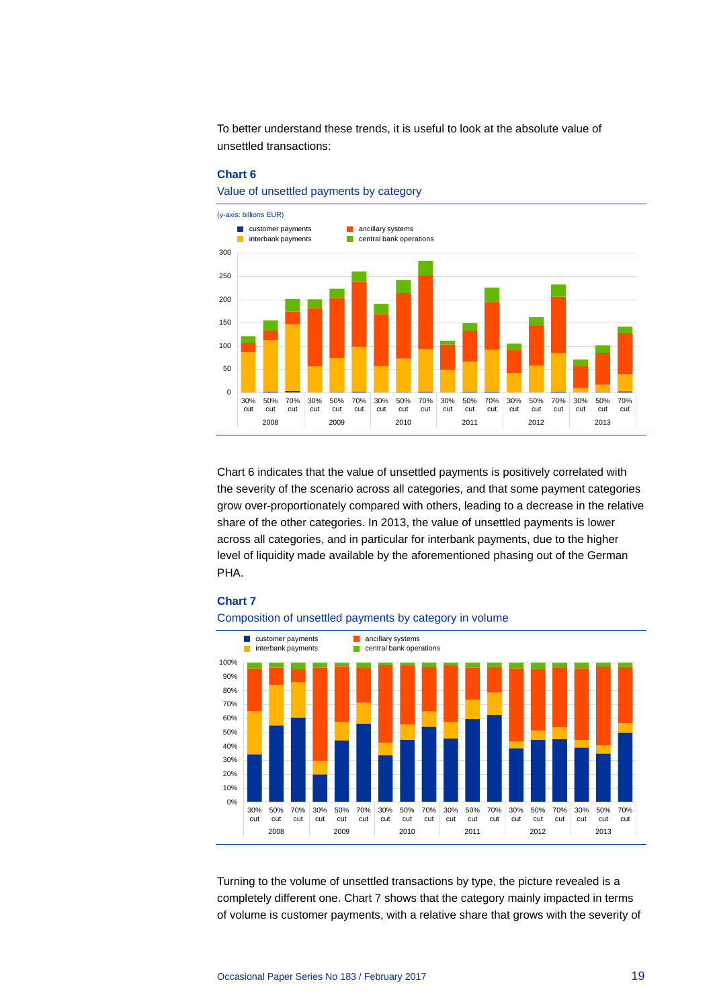To better understand these trends, it is useful to look at the absolute value of unsettled transactions:

#### **Chart 6**

Value of unsettled payments by category



Chart 6 indicates that the value of unsettled payments is positively correlated with the severity of the scenario across all categories, and that some payment categories grow over-proportionately compared with others, leading to a decrease in the relative share of the other categories. In 2013, the value of unsettled payments is lower across all categories, and in particular for interbank payments, due to the higher level of liquidity made available by the aforementioned phasing out of the German PHA.

#### **Chart 7**





Turning to the volume of unsettled transactions by type, the picture revealed is a completely different one. Chart 7 shows that the category mainly impacted in terms of volume is customer payments, with a relative share that grows with the severity of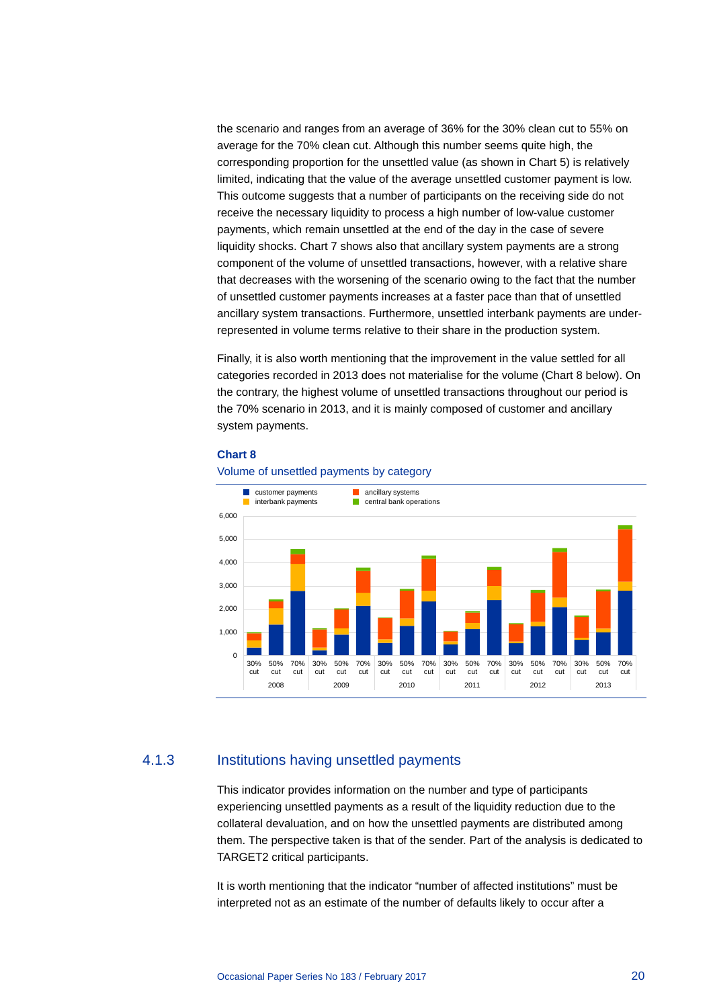the scenario and ranges from an average of 36% for the 30% clean cut to 55% on average for the 70% clean cut. Although this number seems quite high, the corresponding proportion for the unsettled value (as shown in Chart 5) is relatively limited, indicating that the value of the average unsettled customer payment is low. This outcome suggests that a number of participants on the receiving side do not receive the necessary liquidity to process a high number of low-value customer payments, which remain unsettled at the end of the day in the case of severe liquidity shocks. Chart 7 shows also that ancillary system payments are a strong component of the volume of unsettled transactions, however, with a relative share that decreases with the worsening of the scenario owing to the fact that the number of unsettled customer payments increases at a faster pace than that of unsettled ancillary system transactions. Furthermore, unsettled interbank payments are underrepresented in volume terms relative to their share in the production system.

Finally, it is also worth mentioning that the improvement in the value settled for all categories recorded in 2013 does not materialise for the volume (Chart 8 below). On the contrary, the highest volume of unsettled transactions throughout our period is the 70% scenario in 2013, and it is mainly composed of customer and ancillary system payments.

#### **Chart 8**



Volume of unsettled payments by category

### 4.1.3 Institutions having unsettled payments

This indicator provides information on the number and type of participants experiencing unsettled payments as a result of the liquidity reduction due to the collateral devaluation, and on how the unsettled payments are distributed among them. The perspective taken is that of the sender. Part of the analysis is dedicated to TARGET2 critical participants.

It is worth mentioning that the indicator "number of affected institutions" must be interpreted not as an estimate of the number of defaults likely to occur after a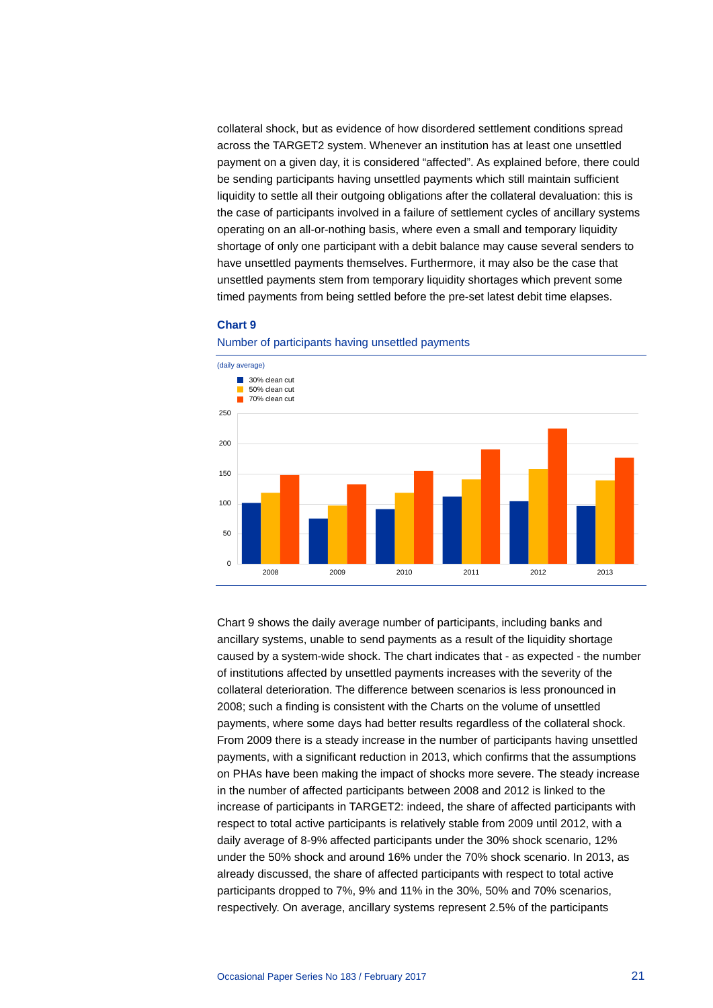collateral shock, but as evidence of how disordered settlement conditions spread across the TARGET2 system. Whenever an institution has at least one unsettled payment on a given day, it is considered "affected". As explained before, there could be sending participants having unsettled payments which still maintain sufficient liquidity to settle all their outgoing obligations after the collateral devaluation: this is the case of participants involved in a failure of settlement cycles of ancillary systems operating on an all-or-nothing basis, where even a small and temporary liquidity shortage of only one participant with a debit balance may cause several senders to have unsettled payments themselves. Furthermore, it may also be the case that unsettled payments stem from temporary liquidity shortages which prevent some timed payments from being settled before the pre-set latest debit time elapses.

#### **Chart 9**





Chart 9 shows the daily average number of participants, including banks and ancillary systems, unable to send payments as a result of the liquidity shortage caused by a system-wide shock. The chart indicates that - as expected - the number of institutions affected by unsettled payments increases with the severity of the collateral deterioration. The difference between scenarios is less pronounced in 2008; such a finding is consistent with the Charts on the volume of unsettled payments, where some days had better results regardless of the collateral shock. From 2009 there is a steady increase in the number of participants having unsettled payments, with a significant reduction in 2013, which confirms that the assumptions on PHAs have been making the impact of shocks more severe. The steady increase in the number of affected participants between 2008 and 2012 is linked to the increase of participants in TARGET2: indeed, the share of affected participants with respect to total active participants is relatively stable from 2009 until 2012, with a daily average of 8-9% affected participants under the 30% shock scenario, 12% under the 50% shock and around 16% under the 70% shock scenario. In 2013, as already discussed, the share of affected participants with respect to total active participants dropped to 7%, 9% and 11% in the 30%, 50% and 70% scenarios, respectively. On average, ancillary systems represent 2.5% of the participants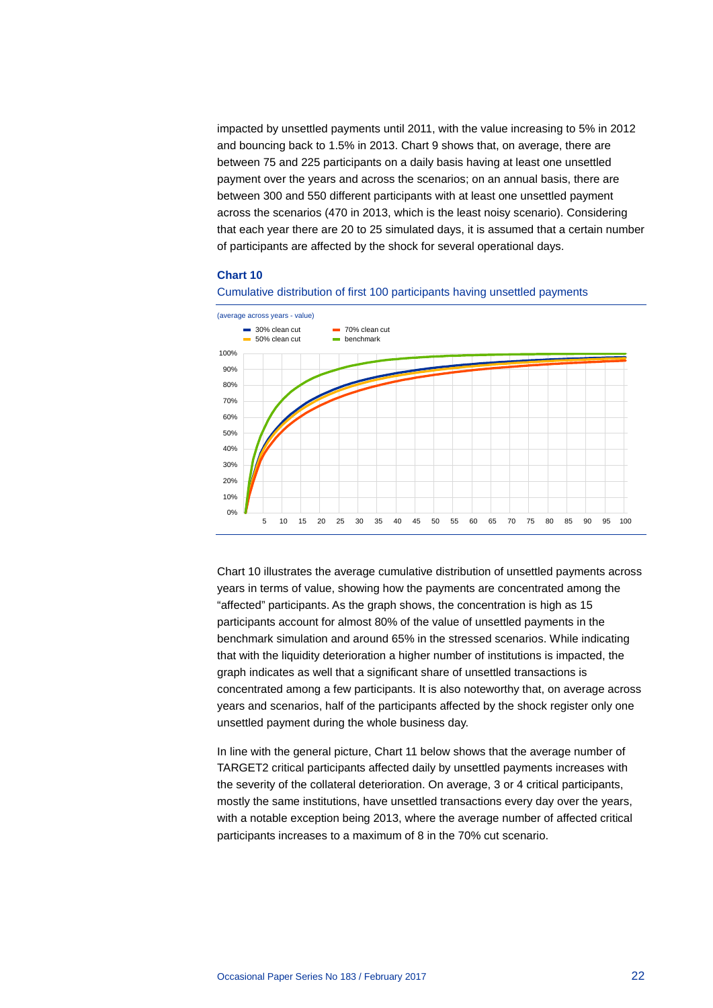impacted by unsettled payments until 2011, with the value increasing to 5% in 2012 and bouncing back to 1.5% in 2013. Chart 9 shows that, on average, there are between 75 and 225 participants on a daily basis having at least one unsettled payment over the years and across the scenarios; on an annual basis, there are between 300 and 550 different participants with at least one unsettled payment across the scenarios (470 in 2013, which is the least noisy scenario). Considering that each year there are 20 to 25 simulated days, it is assumed that a certain number of participants are affected by the shock for several operational days.

#### **Chart 10**



Cumulative distribution of first 100 participants having unsettled payments

Chart 10 illustrates the average cumulative distribution of unsettled payments across years in terms of value, showing how the payments are concentrated among the "affected" participants. As the graph shows, the concentration is high as 15 participants account for almost 80% of the value of unsettled payments in the benchmark simulation and around 65% in the stressed scenarios. While indicating that with the liquidity deterioration a higher number of institutions is impacted, the graph indicates as well that a significant share of unsettled transactions is concentrated among a few participants. It is also noteworthy that, on average across years and scenarios, half of the participants affected by the shock register only one unsettled payment during the whole business day.

In line with the general picture, Chart 11 below shows that the average number of TARGET2 critical participants affected daily by unsettled payments increases with the severity of the collateral deterioration. On average, 3 or 4 critical participants, mostly the same institutions, have unsettled transactions every day over the years, with a notable exception being 2013, where the average number of affected critical participants increases to a maximum of 8 in the 70% cut scenario.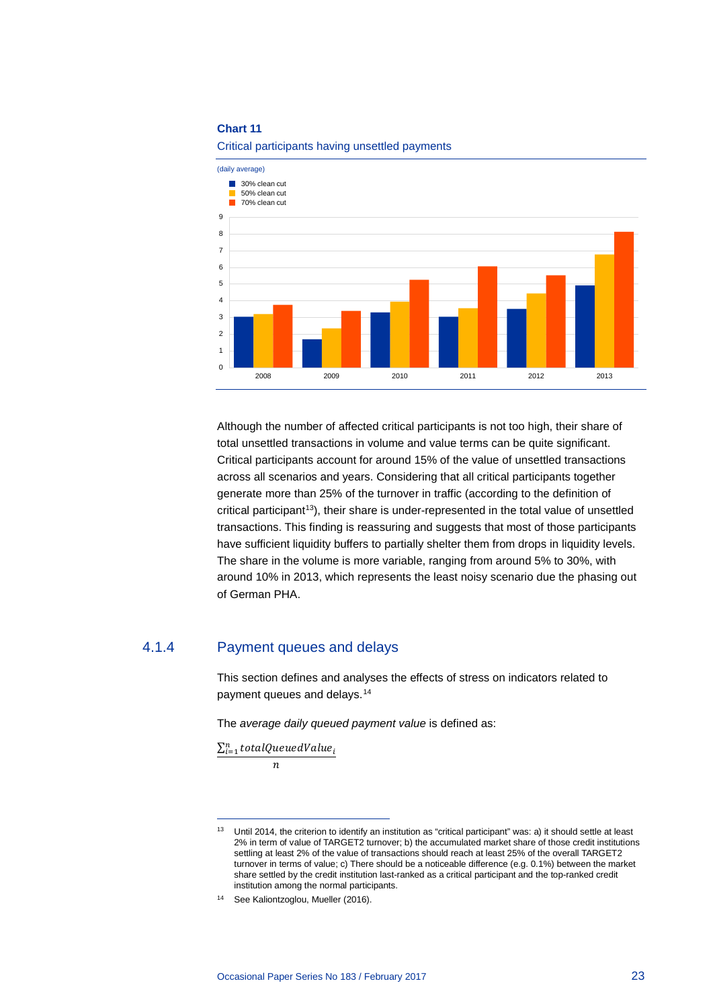

#### Critical participants having unsettled payments

Although the number of affected critical participants is not too high, their share of total unsettled transactions in volume and value terms can be quite significant. Critical participants account for around 15% of the value of unsettled transactions across all scenarios and years. Considering that all critical participants together generate more than 25% of the turnover in traffic (according to the definition of critical participant<sup>[13](#page-23-0)</sup>), their share is under-represented in the total value of unsettled transactions. This finding is reassuring and suggests that most of those participants have sufficient liquidity buffers to partially shelter them from drops in liquidity levels. The share in the volume is more variable, ranging from around 5% to 30%, with around 10% in 2013, which represents the least noisy scenario due the phasing out of German PHA.

### 4.1.4 Payment queues and delays

This section defines and analyses the effects of stress on indicators related to payment queues and delays.[14](#page-23-1)

The *average daily queued payment value* is defined as:

 $\sum_{i=1}^n totalQueue dValue_i$ 

 $\overline{n}$ 

<span id="page-23-0"></span><sup>13</sup> Until 2014, the criterion to identify an institution as "critical participant" was: a) it should settle at least 2% in term of value of TARGET2 turnover; b) the accumulated market share of those credit institutions settling at least 2% of the value of transactions should reach at least 25% of the overall TARGET2 turnover in terms of value; c) There should be a noticeable difference (e.g. 0.1%) between the market share settled by the credit institution last-ranked as a critical participant and the top-ranked credit institution among the normal participants.

<span id="page-23-1"></span><sup>14</sup> See Kaliontzoglou, Mueller (2016).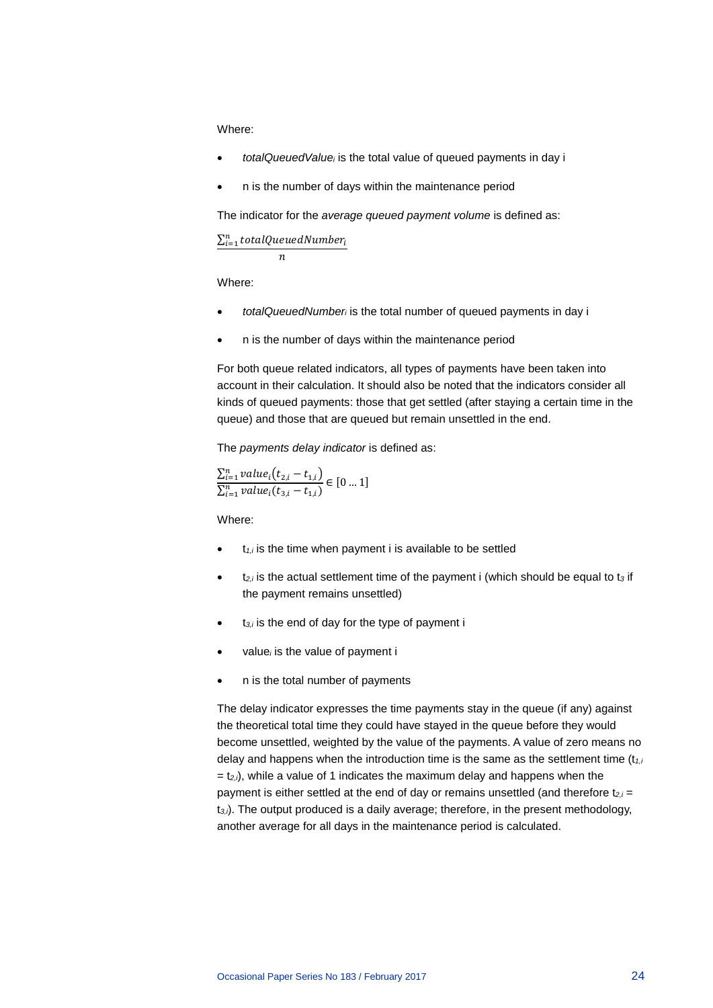Where:

- *totalQueuedValuei* is the total value of queued payments in day i
- n is the number of days within the maintenance period

The indicator for the *average queued payment volume* is defined as:

 $\sum_{i=1}^n totalQueuedNumber_i$ 

 $\boldsymbol{n}$ 

Where:

- *totalQueuedNumberi* is the total number of queued payments in day i
- n is the number of days within the maintenance period

For both queue related indicators, all types of payments have been taken into account in their calculation. It should also be noted that the indicators consider all kinds of queued payments: those that get settled (after staying a certain time in the queue) and those that are queued but remain unsettled in the end.

The *payments delay indicator* is defined as:

 $\sum_{i=1}^{n} value_i(t_{2,i} - t_{1,i})$  $\frac{1}{\sum_{i=1}^{n} value_i(t_{3,i} - t_{1,i})} \in [0...1]$ 

Where:

- t*1,i* is the time when payment i is available to be settled
- t*2,i* is the actual settlement time of the payment i (which should be equal to t*<sup>3</sup>* if the payment remains unsettled)
- t*3,i* is the end of day for the type of payment i
- value*<sup>i</sup>* is the value of payment i
- n is the total number of payments

The delay indicator expresses the time payments stay in the queue (if any) against the theoretical total time they could have stayed in the queue before they would become unsettled, weighted by the value of the payments. A value of zero means no delay and happens when the introduction time is the same as the settlement time (t*1,i*  $= t<sub>2</sub>,$  while a value of 1 indicates the maximum delay and happens when the payment is either settled at the end of day or remains unsettled (and therefore t*2,i* = t*3,i*). The output produced is a daily average; therefore, in the present methodology, another average for all days in the maintenance period is calculated.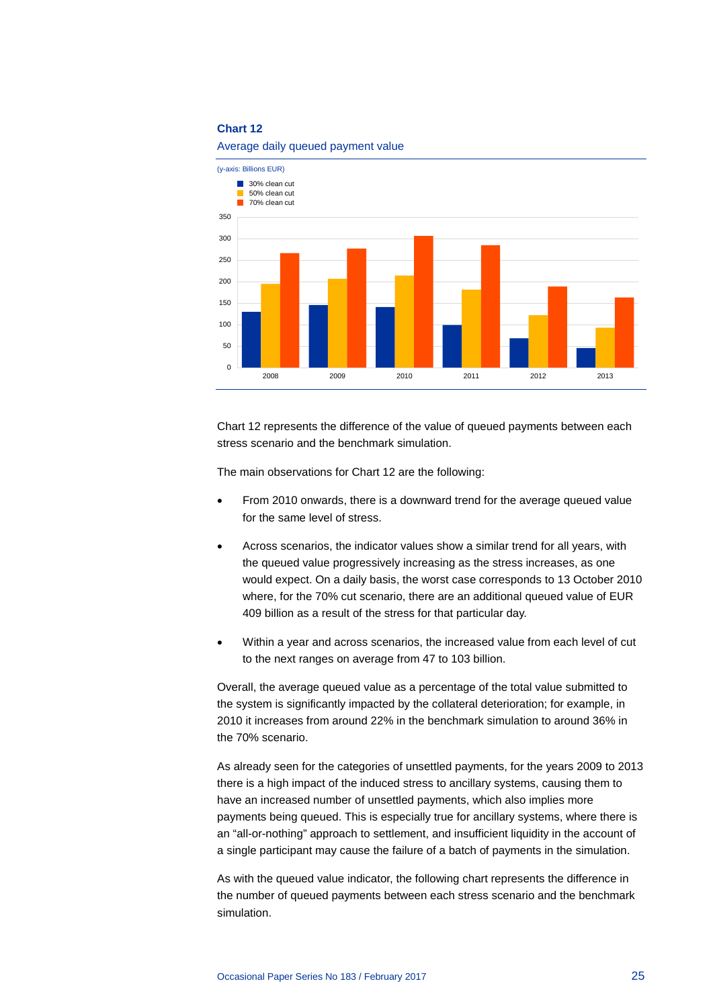

#### Average daily queued payment value

Chart 12 represents the difference of the value of queued payments between each stress scenario and the benchmark simulation.

The main observations for Chart 12 are the following:

- From 2010 onwards, there is a downward trend for the average queued value for the same level of stress.
- Across scenarios, the indicator values show a similar trend for all years, with the queued value progressively increasing as the stress increases, as one would expect. On a daily basis, the worst case corresponds to 13 October 2010 where, for the 70% cut scenario, there are an additional queued value of EUR 409 billion as a result of the stress for that particular day.
- Within a year and across scenarios, the increased value from each level of cut to the next ranges on average from 47 to 103 billion.

Overall, the average queued value as a percentage of the total value submitted to the system is significantly impacted by the collateral deterioration; for example, in 2010 it increases from around 22% in the benchmark simulation to around 36% in the 70% scenario.

As already seen for the categories of unsettled payments, for the years 2009 to 2013 there is a high impact of the induced stress to ancillary systems, causing them to have an increased number of unsettled payments, which also implies more payments being queued. This is especially true for ancillary systems, where there is an "all-or-nothing" approach to settlement, and insufficient liquidity in the account of a single participant may cause the failure of a batch of payments in the simulation.

As with the queued value indicator, the following chart represents the difference in the number of queued payments between each stress scenario and the benchmark simulation.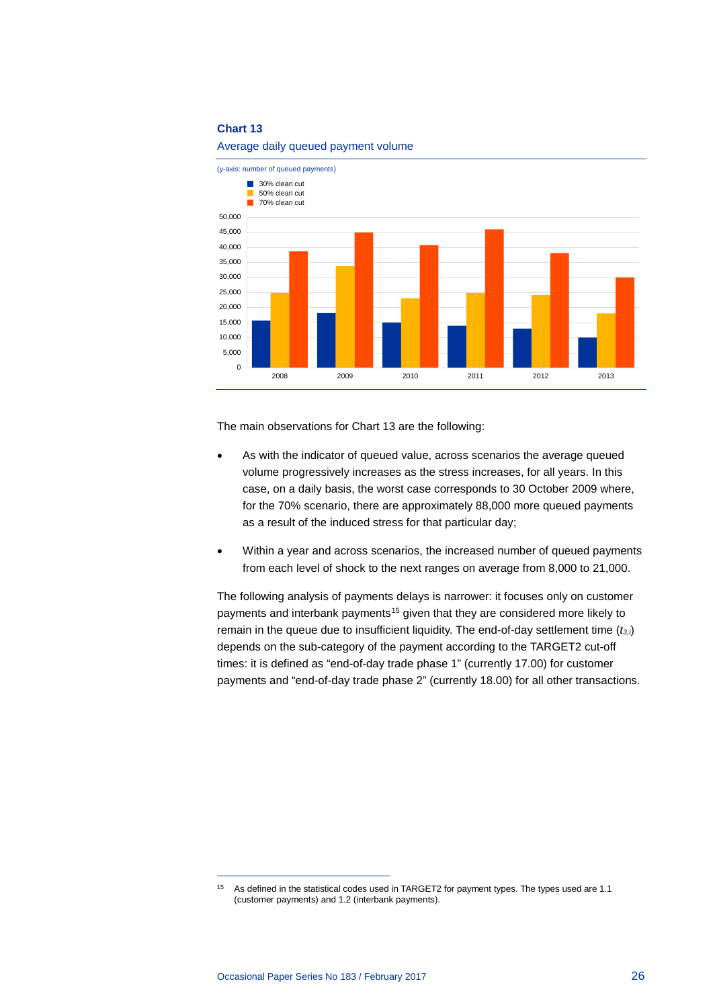

Average daily queued payment volume

The main observations for Chart 13 are the following:

- As with the indicator of queued value, across scenarios the average queued volume progressively increases as the stress increases, for all years. In this case, on a daily basis, the worst case corresponds to 30 October 2009 where, for the 70% scenario, there are approximately 88,000 more queued payments as a result of the induced stress for that particular day;
- Within a year and across scenarios, the increased number of queued payments from each level of shock to the next ranges on average from 8,000 to 21,000.

The following analysis of payments delays is narrower: it focuses only on customer payments and interbank payments<sup>[15](#page-26-0)</sup> given that they are considered more likely to remain in the queue due to insufficient liquidity. The end-of-day settlement time (*t3,i*) depends on the sub-category of the payment according to the TARGET2 cut-off times: it is defined as "end-of-day trade phase 1" (currently 17.00) for customer payments and "end-of-day trade phase 2" (currently 18.00) for all other transactions.

<span id="page-26-0"></span><sup>&</sup>lt;sup>15</sup> As defined in the statistical codes used in TARGET2 for payment types. The types used are 1.1 (customer payments) and 1.2 (interbank payments).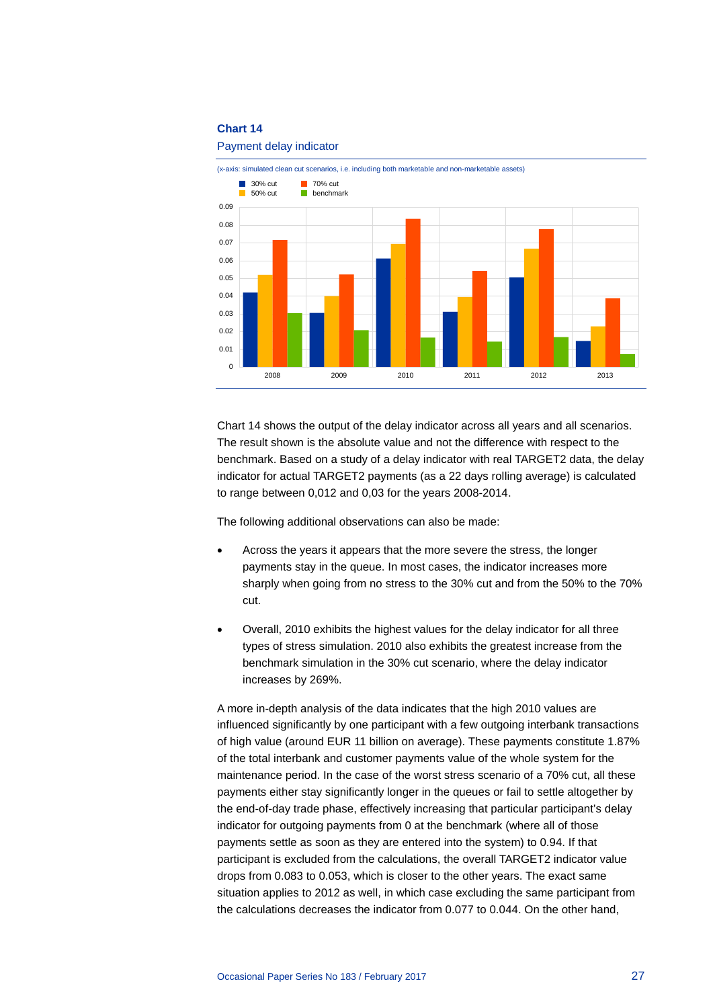#### Payment delay indicator



Chart 14 shows the output of the delay indicator across all years and all scenarios. The result shown is the absolute value and not the difference with respect to the benchmark. Based on a study of a delay indicator with real TARGET2 data, the delay indicator for actual TARGET2 payments (as a 22 days rolling average) is calculated to range between 0,012 and 0,03 for the years 2008-2014.

The following additional observations can also be made:

- Across the years it appears that the more severe the stress, the longer payments stay in the queue. In most cases, the indicator increases more sharply when going from no stress to the 30% cut and from the 50% to the 70% cut.
- Overall, 2010 exhibits the highest values for the delay indicator for all three types of stress simulation. 2010 also exhibits the greatest increase from the benchmark simulation in the 30% cut scenario, where the delay indicator increases by 269%.

A more in-depth analysis of the data indicates that the high 2010 values are influenced significantly by one participant with a few outgoing interbank transactions of high value (around EUR 11 billion on average). These payments constitute 1.87% of the total interbank and customer payments value of the whole system for the maintenance period. In the case of the worst stress scenario of a 70% cut, all these payments either stay significantly longer in the queues or fail to settle altogether by the end-of-day trade phase, effectively increasing that particular participant's delay indicator for outgoing payments from 0 at the benchmark (where all of those payments settle as soon as they are entered into the system) to 0.94. If that participant is excluded from the calculations, the overall TARGET2 indicator value drops from 0.083 to 0.053, which is closer to the other years. The exact same situation applies to 2012 as well, in which case excluding the same participant from the calculations decreases the indicator from 0.077 to 0.044. On the other hand,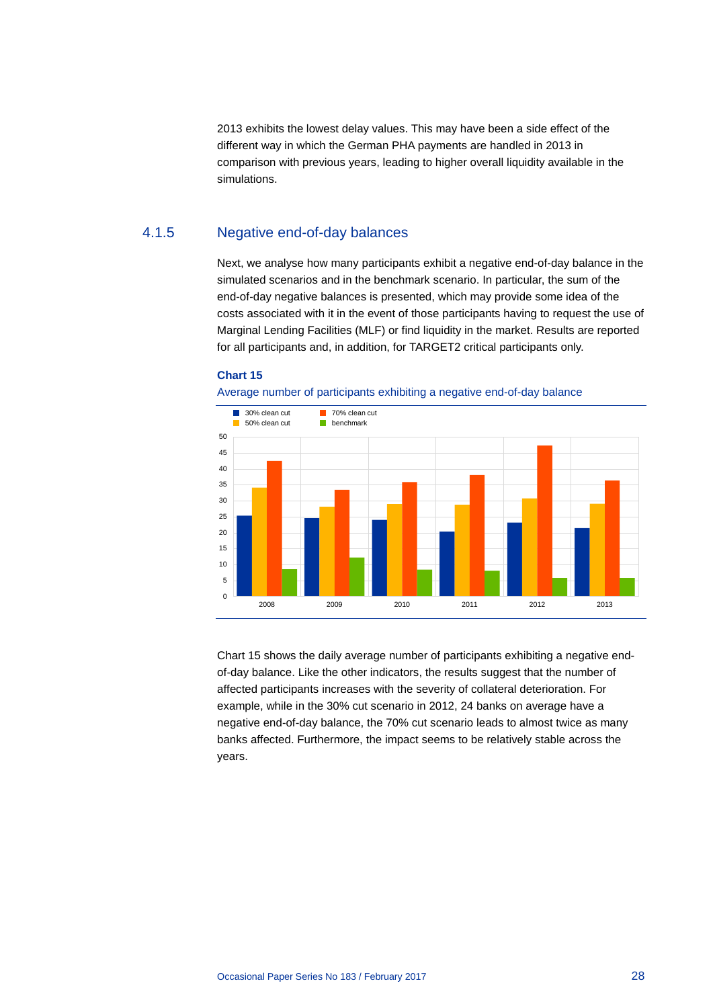2013 exhibits the lowest delay values. This may have been a side effect of the different way in which the German PHA payments are handled in 2013 in comparison with previous years, leading to higher overall liquidity available in the simulations.

### 4.1.5 Negative end-of-day balances

Next, we analyse how many participants exhibit a negative end-of-day balance in the simulated scenarios and in the benchmark scenario. In particular, the sum of the end-of-day negative balances is presented, which may provide some idea of the costs associated with it in the event of those participants having to request the use of Marginal Lending Facilities (MLF) or find liquidity in the market. Results are reported for all participants and, in addition, for TARGET2 critical participants only.

### **Chart 15**





Chart 15 shows the daily average number of participants exhibiting a negative endof-day balance. Like the other indicators, the results suggest that the number of affected participants increases with the severity of collateral deterioration. For example, while in the 30% cut scenario in 2012, 24 banks on average have a negative end-of-day balance, the 70% cut scenario leads to almost twice as many banks affected. Furthermore, the impact seems to be relatively stable across the years.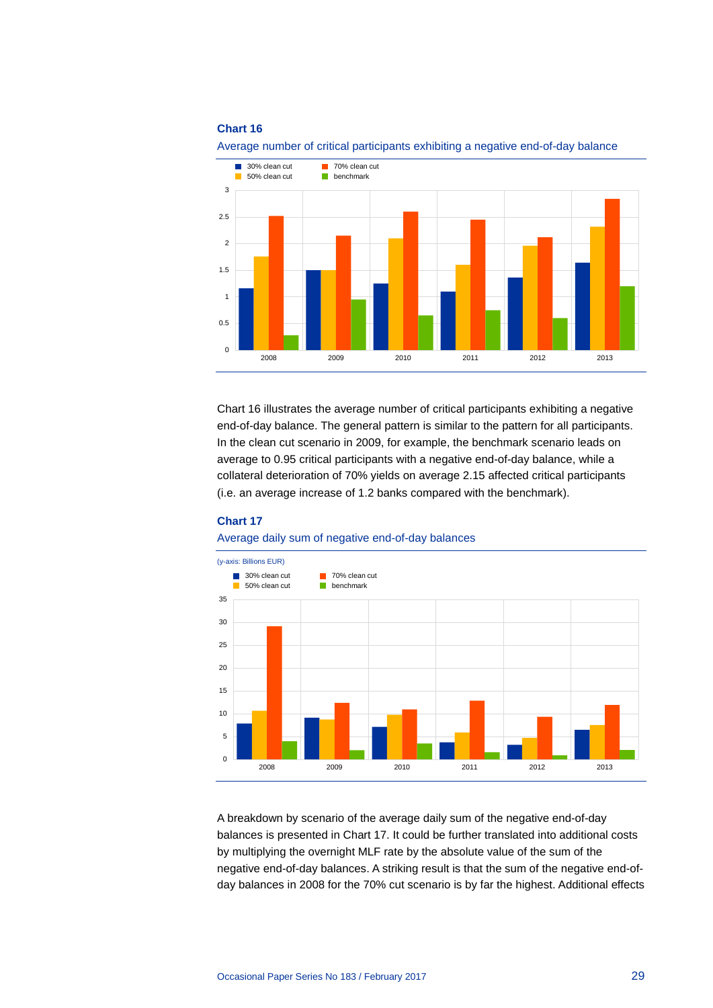

Average number of critical participants exhibiting a negative end-of-day balance

Chart 16 illustrates the average number of critical participants exhibiting a negative end-of-day balance. The general pattern is similar to the pattern for all participants. In the clean cut scenario in 2009, for example, the benchmark scenario leads on average to 0.95 critical participants with a negative end-of-day balance, while a collateral deterioration of 70% yields on average 2.15 affected critical participants (i.e. an average increase of 1.2 banks compared with the benchmark).

### **Chart 17**





A breakdown by scenario of the average daily sum of the negative end-of-day balances is presented in Chart 17. It could be further translated into additional costs by multiplying the overnight MLF rate by the absolute value of the sum of the negative end-of-day balances. A striking result is that the sum of the negative end-ofday balances in 2008 for the 70% cut scenario is by far the highest. Additional effects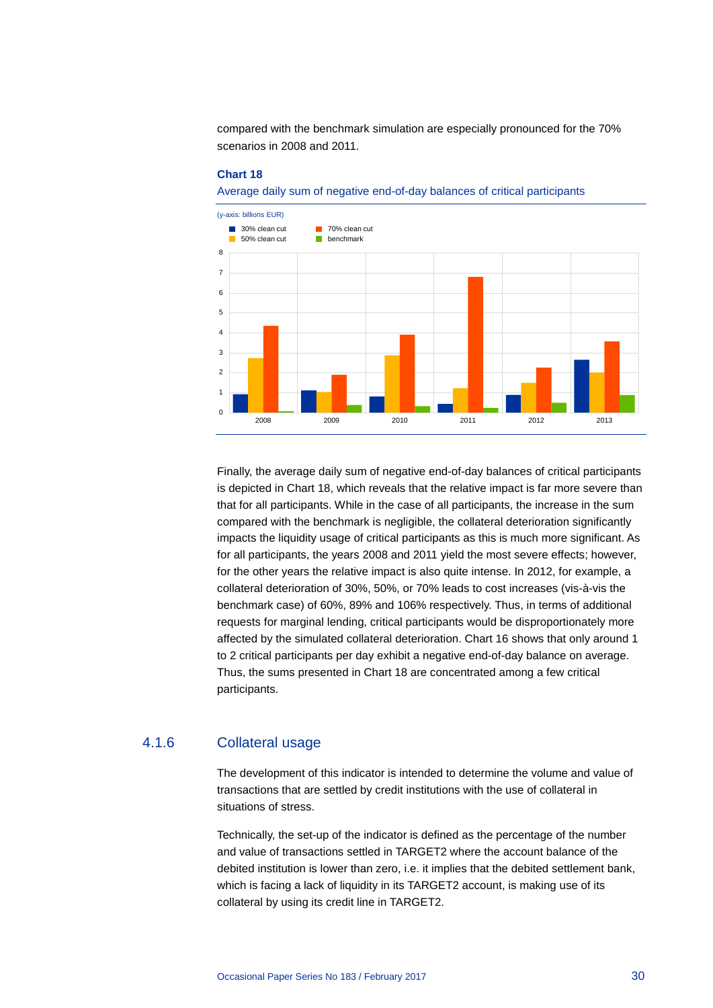compared with the benchmark simulation are especially pronounced for the 70% scenarios in 2008 and 2011.

#### **Chart 18**

Average daily sum of negative end-of-day balances of critical participants



Finally, the average daily sum of negative end-of-day balances of critical participants is depicted in Chart 18, which reveals that the relative impact is far more severe than that for all participants. While in the case of all participants, the increase in the sum compared with the benchmark is negligible, the collateral deterioration significantly impacts the liquidity usage of critical participants as this is much more significant. As for all participants, the years 2008 and 2011 yield the most severe effects; however, for the other years the relative impact is also quite intense. In 2012, for example, a collateral deterioration of 30%, 50%, or 70% leads to cost increases (vis-à-vis the benchmark case) of 60%, 89% and 106% respectively. Thus, in terms of additional requests for marginal lending, critical participants would be disproportionately more affected by the simulated collateral deterioration. Chart 16 shows that only around 1 to 2 critical participants per day exhibit a negative end-of-day balance on average. Thus, the sums presented in Chart 18 are concentrated among a few critical participants.

### 4.1.6 Collateral usage

The development of this indicator is intended to determine the volume and value of transactions that are settled by credit institutions with the use of collateral in situations of stress.

Technically, the set-up of the indicator is defined as the percentage of the number and value of transactions settled in TARGET2 where the account balance of the debited institution is lower than zero, i.e. it implies that the debited settlement bank, which is facing a lack of liquidity in its TARGET2 account, is making use of its collateral by using its credit line in TARGET2.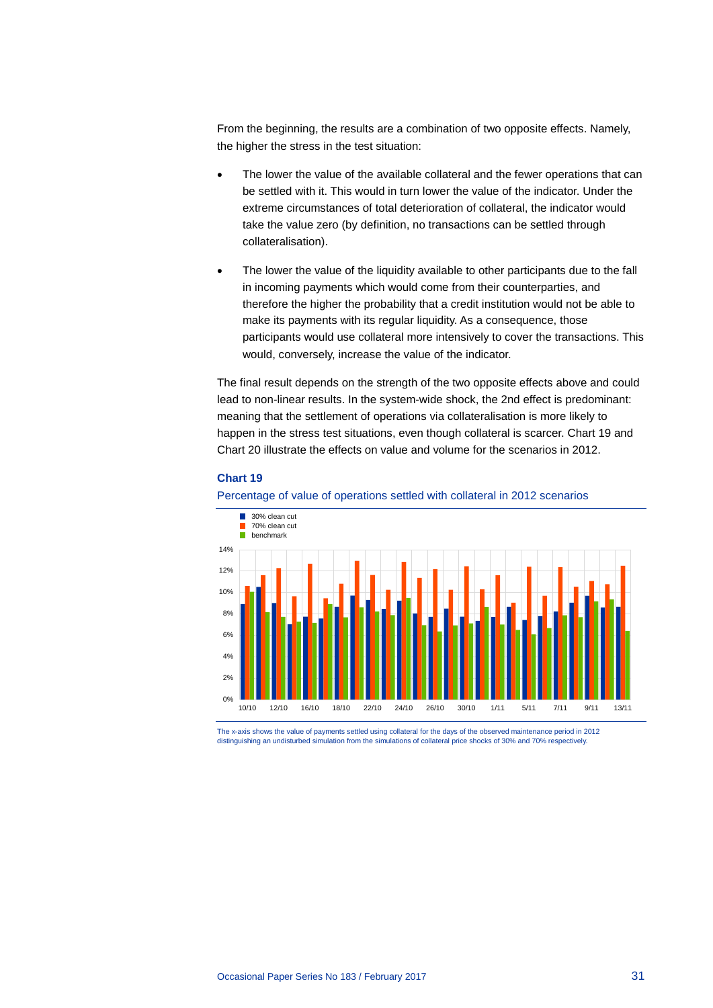From the beginning, the results are a combination of two opposite effects. Namely, the higher the stress in the test situation:

- The lower the value of the available collateral and the fewer operations that can be settled with it. This would in turn lower the value of the indicator. Under the extreme circumstances of total deterioration of collateral, the indicator would take the value zero (by definition, no transactions can be settled through collateralisation).
- The lower the value of the liquidity available to other participants due to the fall in incoming payments which would come from their counterparties, and therefore the higher the probability that a credit institution would not be able to make its payments with its regular liquidity. As a consequence, those participants would use collateral more intensively to cover the transactions. This would, conversely, increase the value of the indicator.

The final result depends on the strength of the two opposite effects above and could lead to non-linear results. In the system-wide shock, the 2nd effect is predominant: meaning that the settlement of operations via collateralisation is more likely to happen in the stress test situations, even though collateral is scarcer. Chart 19 and Chart 20 illustrate the effects on value and volume for the scenarios in 2012.

#### **Chart 19**





The x-axis shows the value of payments settled using collateral for the days of the observed maintenance period in 2012 distinguishing an undisturbed simulation from the simulations of collateral price shocks of 30% and 70% respectively.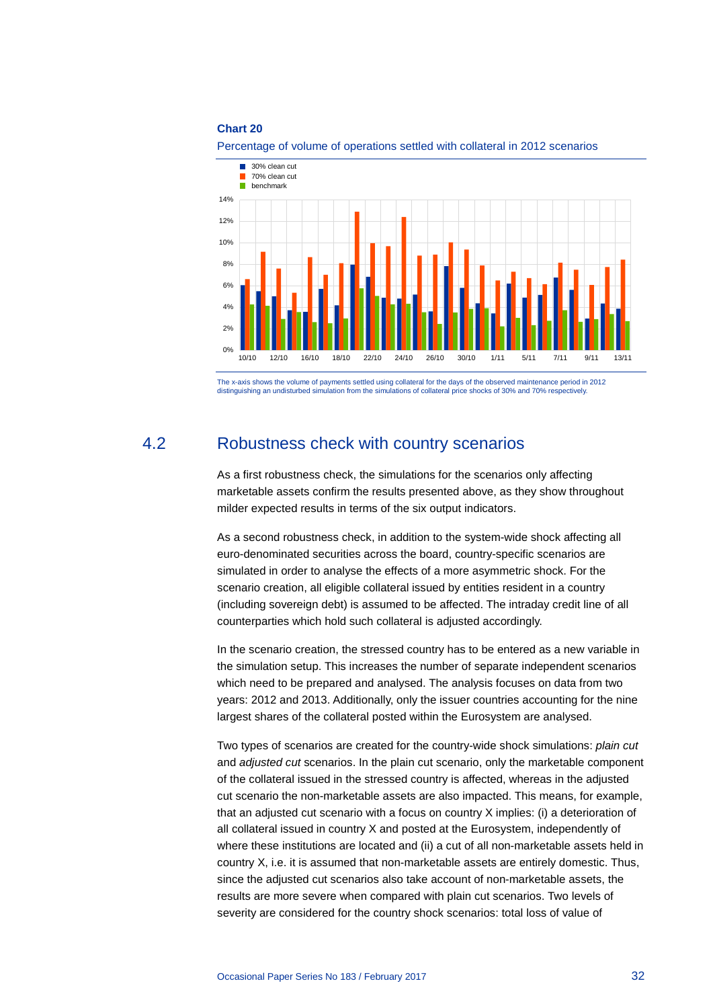

Percentage of volume of operations settled with collateral in 2012 scenarios

<span id="page-32-0"></span>The x-axis shows the volume of payments settled using collateral for the days of the observed maintenance period in 2012 distinguishing an undisturbed simulation from the simulations of collateral price shocks of 30% and 70% respectively.

## 4.2 Robustness check with country scenarios

As a first robustness check, the simulations for the scenarios only affecting marketable assets confirm the results presented above, as they show throughout milder expected results in terms of the six output indicators.

As a second robustness check, in addition to the system-wide shock affecting all euro-denominated securities across the board, country-specific scenarios are simulated in order to analyse the effects of a more asymmetric shock. For the scenario creation, all eligible collateral issued by entities resident in a country (including sovereign debt) is assumed to be affected. The intraday credit line of all counterparties which hold such collateral is adjusted accordingly.

In the scenario creation, the stressed country has to be entered as a new variable in the simulation setup. This increases the number of separate independent scenarios which need to be prepared and analysed. The analysis focuses on data from two years: 2012 and 2013. Additionally, only the issuer countries accounting for the nine largest shares of the collateral posted within the Eurosystem are analysed.

Two types of scenarios are created for the country-wide shock simulations: *plain cut*  and *adjusted cut* scenarios. In the plain cut scenario, only the marketable component of the collateral issued in the stressed country is affected, whereas in the adjusted cut scenario the non-marketable assets are also impacted. This means, for example, that an adjusted cut scenario with a focus on country X implies: (i) a deterioration of all collateral issued in country X and posted at the Eurosystem, independently of where these institutions are located and (ii) a cut of all non-marketable assets held in country X, i.e. it is assumed that non-marketable assets are entirely domestic. Thus, since the adjusted cut scenarios also take account of non-marketable assets, the results are more severe when compared with plain cut scenarios. Two levels of severity are considered for the country shock scenarios: total loss of value of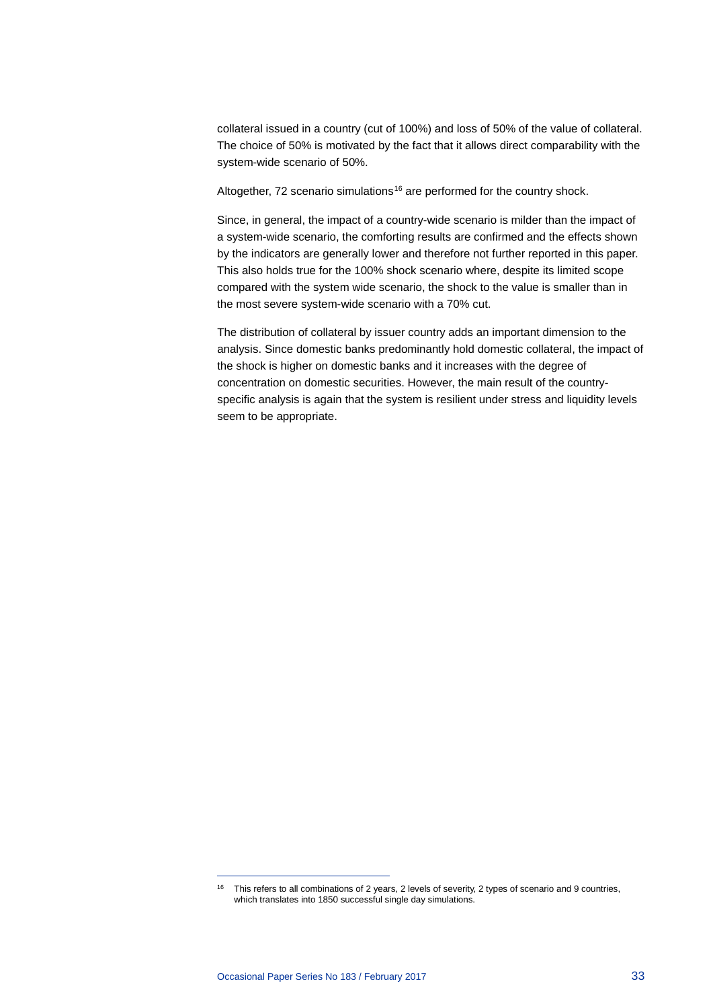collateral issued in a country (cut of 100%) and loss of 50% of the value of collateral. The choice of 50% is motivated by the fact that it allows direct comparability with the system-wide scenario of 50%.

Altogether, 72 scenario simulations<sup>[16](#page-33-0)</sup> are performed for the country shock.

Since, in general, the impact of a country-wide scenario is milder than the impact of a system-wide scenario, the comforting results are confirmed and the effects shown by the indicators are generally lower and therefore not further reported in this paper. This also holds true for the 100% shock scenario where, despite its limited scope compared with the system wide scenario, the shock to the value is smaller than in the most severe system-wide scenario with a 70% cut.

The distribution of collateral by issuer country adds an important dimension to the analysis. Since domestic banks predominantly hold domestic collateral, the impact of the shock is higher on domestic banks and it increases with the degree of concentration on domestic securities. However, the main result of the countryspecific analysis is again that the system is resilient under stress and liquidity levels seem to be appropriate.

<span id="page-33-0"></span><sup>16</sup> This refers to all combinations of 2 years, 2 levels of severity, 2 types of scenario and 9 countries, which translates into 1850 successful single day simulations.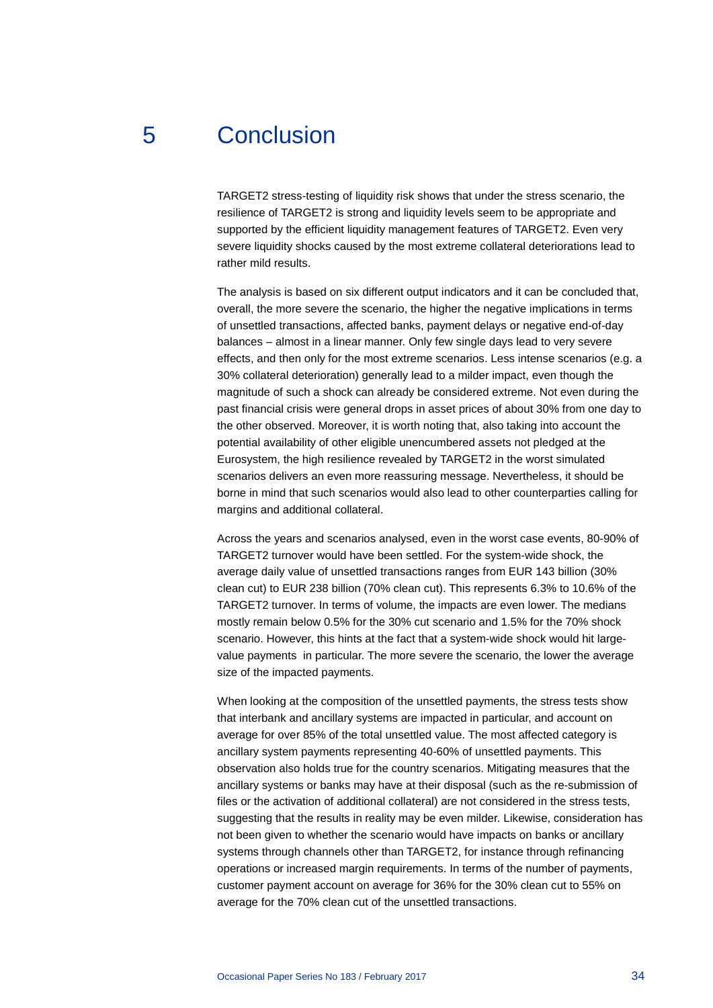## 5 Conclusion

<span id="page-34-0"></span>TARGET2 stress-testing of liquidity risk shows that under the stress scenario, the resilience of TARGET2 is strong and liquidity levels seem to be appropriate and supported by the efficient liquidity management features of TARGET2. Even very severe liquidity shocks caused by the most extreme collateral deteriorations lead to rather mild results.

The analysis is based on six different output indicators and it can be concluded that, overall, the more severe the scenario, the higher the negative implications in terms of unsettled transactions, affected banks, payment delays or negative end-of-day balances – almost in a linear manner. Only few single days lead to very severe effects, and then only for the most extreme scenarios. Less intense scenarios (e.g. a 30% collateral deterioration) generally lead to a milder impact, even though the magnitude of such a shock can already be considered extreme. Not even during the past financial crisis were general drops in asset prices of about 30% from one day to the other observed. Moreover, it is worth noting that, also taking into account the potential availability of other eligible unencumbered assets not pledged at the Eurosystem, the high resilience revealed by TARGET2 in the worst simulated scenarios delivers an even more reassuring message. Nevertheless, it should be borne in mind that such scenarios would also lead to other counterparties calling for margins and additional collateral.

Across the years and scenarios analysed, even in the worst case events, 80-90% of TARGET2 turnover would have been settled. For the system-wide shock, the average daily value of unsettled transactions ranges from EUR 143 billion (30% clean cut) to EUR 238 billion (70% clean cut). This represents 6.3% to 10.6% of the TARGET2 turnover. In terms of volume, the impacts are even lower. The medians mostly remain below 0.5% for the 30% cut scenario and 1.5% for the 70% shock scenario. However, this hints at the fact that a system-wide shock would hit largevalue payments in particular. The more severe the scenario, the lower the average size of the impacted payments.

When looking at the composition of the unsettled payments, the stress tests show that interbank and ancillary systems are impacted in particular, and account on average for over 85% of the total unsettled value. The most affected category is ancillary system payments representing 40-60% of unsettled payments. This observation also holds true for the country scenarios. Mitigating measures that the ancillary systems or banks may have at their disposal (such as the re-submission of files or the activation of additional collateral) are not considered in the stress tests, suggesting that the results in reality may be even milder. Likewise, consideration has not been given to whether the scenario would have impacts on banks or ancillary systems through channels other than TARGET2, for instance through refinancing operations or increased margin requirements. In terms of the number of payments, customer payment account on average for 36% for the 30% clean cut to 55% on average for the 70% clean cut of the unsettled transactions.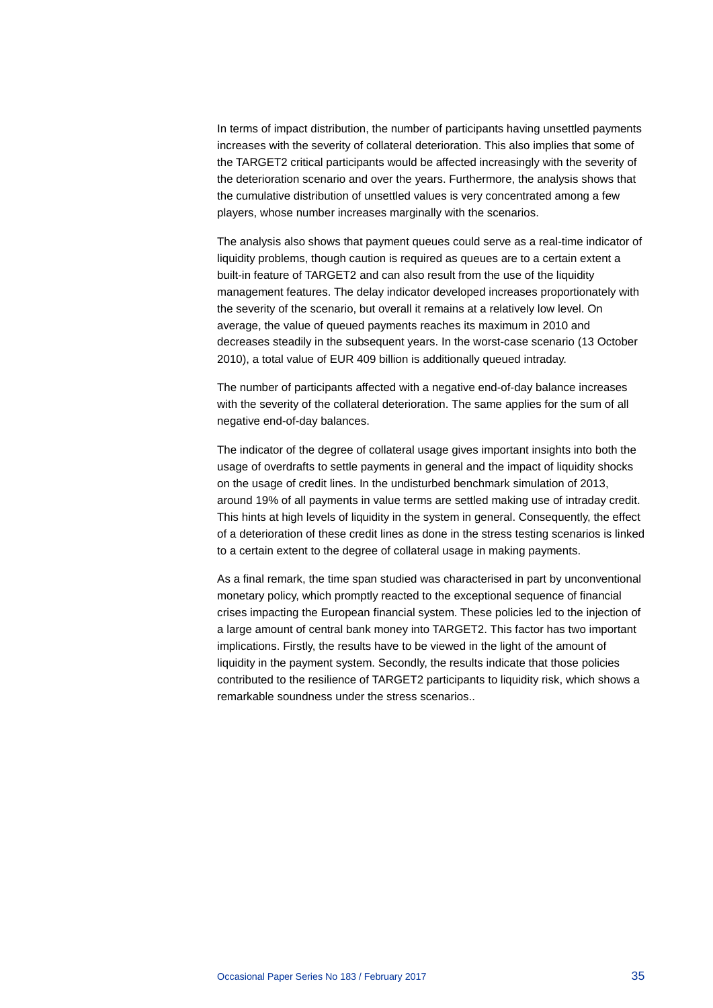In terms of impact distribution, the number of participants having unsettled payments increases with the severity of collateral deterioration. This also implies that some of the TARGET2 critical participants would be affected increasingly with the severity of the deterioration scenario and over the years. Furthermore, the analysis shows that the cumulative distribution of unsettled values is very concentrated among a few players, whose number increases marginally with the scenarios.

The analysis also shows that payment queues could serve as a real-time indicator of liquidity problems, though caution is required as queues are to a certain extent a built-in feature of TARGET2 and can also result from the use of the liquidity management features. The delay indicator developed increases proportionately with the severity of the scenario, but overall it remains at a relatively low level. On average, the value of queued payments reaches its maximum in 2010 and decreases steadily in the subsequent years. In the worst-case scenario (13 October 2010), a total value of EUR 409 billion is additionally queued intraday.

The number of participants affected with a negative end-of-day balance increases with the severity of the collateral deterioration. The same applies for the sum of all negative end-of-day balances.

The indicator of the degree of collateral usage gives important insights into both the usage of overdrafts to settle payments in general and the impact of liquidity shocks on the usage of credit lines. In the undisturbed benchmark simulation of 2013, around 19% of all payments in value terms are settled making use of intraday credit. This hints at high levels of liquidity in the system in general. Consequently, the effect of a deterioration of these credit lines as done in the stress testing scenarios is linked to a certain extent to the degree of collateral usage in making payments.

As a final remark, the time span studied was characterised in part by unconventional monetary policy, which promptly reacted to the exceptional sequence of financial crises impacting the European financial system. These policies led to the injection of a large amount of central bank money into TARGET2. This factor has two important implications. Firstly, the results have to be viewed in the light of the amount of liquidity in the payment system. Secondly, the results indicate that those policies contributed to the resilience of TARGET2 participants to liquidity risk, which shows a remarkable soundness under the stress scenarios..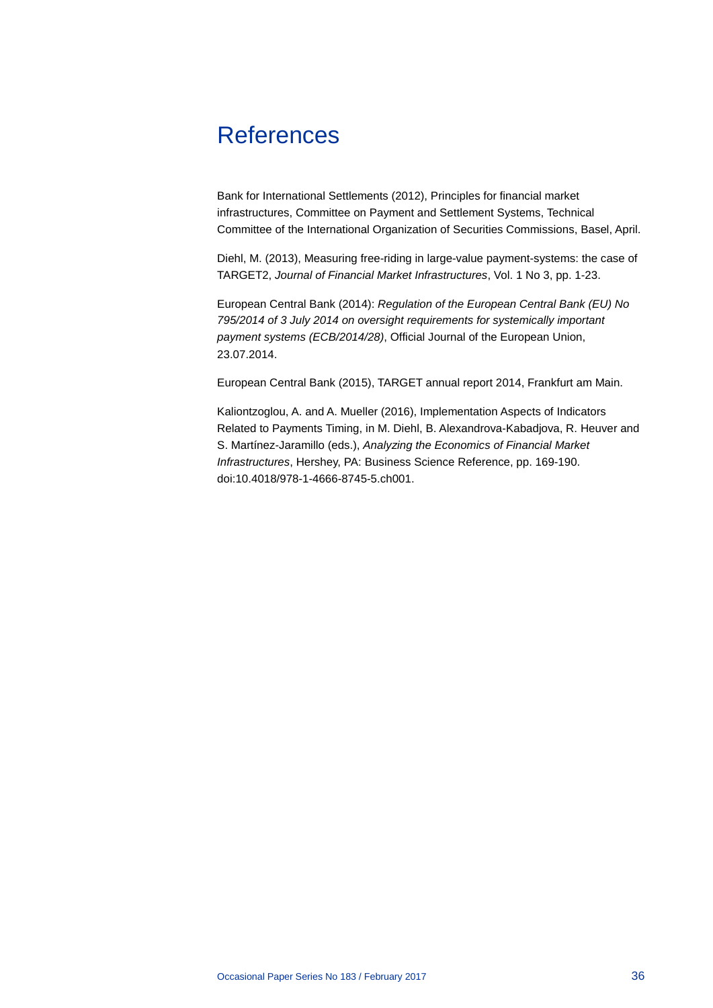# <span id="page-36-0"></span>**References**

Bank for International Settlements (2012), Principles for financial market infrastructures, Committee on Payment and Settlement Systems, Technical Committee of the International Organization of Securities Commissions, Basel, April.

Diehl, M. (2013), Measuring free-riding in large-value payment-systems: the case of TARGET2, *Journal of Financial Market Infrastructures*, Vol. 1 No 3, pp. 1-23.

European Central Bank (2014): *Regulation of the European Central Bank (EU) No 795/2014 of 3 July 2014 on oversight requirements for systemically important payment systems (ECB/2014/28)*, Official Journal of the European Union, 23.07.2014.

European Central Bank (2015), TARGET annual report 2014, Frankfurt am Main.

Kaliontzoglou, A. and A. Mueller (2016), Implementation Aspects of Indicators Related to Payments Timing, in M. Diehl, B. Alexandrova-Kabadjova, R. Heuver and S. Martínez-Jaramillo (eds.), *Analyzing the Economics of Financial Market Infrastructures*, Hershey, PA: Business Science Reference, pp. 169-190. doi:10.4018/978-1-4666-8745-5.ch001.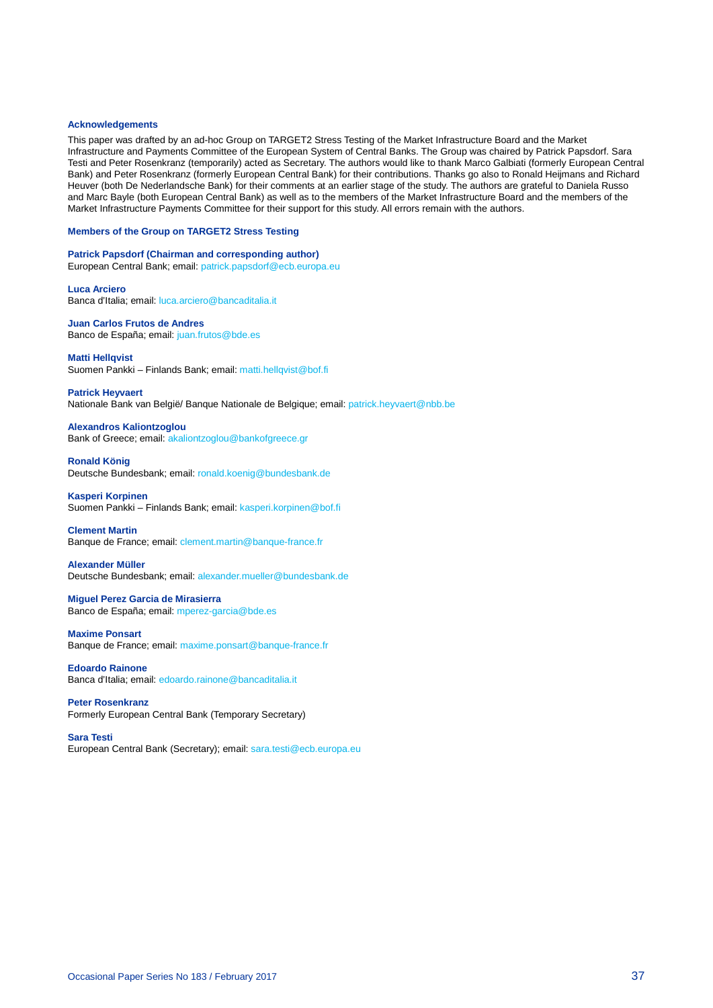#### <span id="page-37-0"></span>**Acknowledgements**

This paper was drafted by an ad-hoc Group on TARGET2 Stress Testing of the Market Infrastructure Board and the Market Infrastructure and Payments Committee of the European System of Central Banks. The Group was chaired by Patrick Papsdorf. Sara Testi and Peter Rosenkranz (temporarily) acted as Secretary. The authors would like to thank Marco Galbiati (formerly European Central Bank) and Peter Rosenkranz (formerly European Central Bank) for their contributions. Thanks go also to Ronald Heijmans and Richard Heuver (both De Nederlandsche Bank) for their comments at an earlier stage of the study. The authors are grateful to Daniela Russo and Marc Bayle (both European Central Bank) as well as to the members of the Market Infrastructure Board and the members of the Market Infrastructure Payments Committee for their support for this study. All errors remain with the authors.

#### **Members of the Group on TARGET2 Stress Testing**

**Patrick Papsdorf (Chairman and corresponding author)** European Central Bank; email: [patrick.papsdorf@ecb.europa.eu](mailto:patrick.papsdorf@ecb.europa.eu)

**Luca Arciero** Banca d'Italia; email[: luca.arciero@bancaditalia.it](mailto:luca.arciero@bancaditalia.it)

**Juan Carlos Frutos de Andres** Banco de España; email: [juan.frutos@bde.es](mailto:juan.frutos@bde.es)

#### **Matti Hellqvist**

Suomen Pankki – Finlands Bank; email[: matti.hellqvist@bof.fi](mailto:matti.hellqvist@bof.fi)

**Patrick Heyvaert** Nationale Bank van België/ Banque Nationale de Belgique; email: [patrick.heyvaert@nbb.be](mailto:patrick.heyvaert@nbb.be)

#### **Alexandros Kaliontzoglou**

Bank of Greece; email[: akaliontzoglou@bankofgreece.gr](mailto:akaliontzoglou@bankofgreece.gr)

**Ronald König** Deutsche Bundesbank; email[: ronald.koenig@bundesbank.de](mailto:ronald.koenig@bundesbank.de)

**Kasperi Korpinen** Suomen Pankki – Finlands Bank; email[: kasperi.korpinen@bof.fi](mailto:kasperi.korpinen@bof.fi)

#### **Clement Martin**

Banque de France; email[: clement.martin@banque-france.fr](mailto:clement.martin@banque-france.fr)

#### **Alexander Müller**

Deutsche Bundesbank; email[: alexander.mueller@bundesbank.de](mailto:alexander.mueller@bundesbank.de)

#### **Miguel Perez Garcia de Mirasierra**

Banco de España; email: [mperez-garcia@bde.es](mailto:mperez-garcia@bde.es)

#### **Maxime Ponsart**

Banque de France; email[: maxime.ponsart@banque-france.fr](mailto:maxime.ponsart@banque-france.fr)

#### **Edoardo Rainone** Banca d'Italia; email: [edoardo.rainone@bancaditalia.it](mailto:edoardo.rainone@bancaditalia.it)

#### **Peter Rosenkranz**

Formerly European Central Bank (Temporary Secretary)

#### **Sara Testi**

European Central Bank (Secretary); email[: sara.testi@ecb.europa.eu](mailto:sara.testi@ecb.europa.eu)